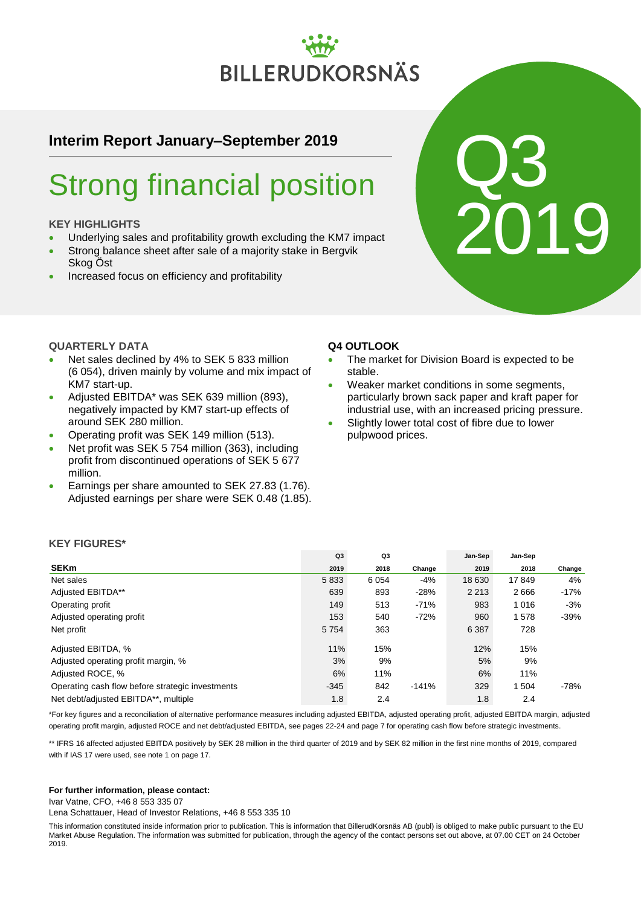# **BILLERUDKORSNÄS**

# **Interim Report January–September 2019**

# Strong financial position

# **KEY HIGHLIGHTS**

**QUARTERLY DATA**

KM7 start-up.

around SEK 280 million.

- Underlying sales and profitability growth excluding the KM7 impact
- Strong balance sheet after sale of a majority stake in Bergvik Skog Öst
- Increased focus on efficiency and profitability

 Net sales declined by 4% to SEK 5 833 million (6 054), driven mainly by volume and mix impact of

• Adjusted EBITDA\* was SEK 639 million (893), negatively impacted by KM7 start-up effects of

 Operating profit was SEK 149 million (513). • Net profit was SEK 5 754 million (363), including profit from discontinued operations of SEK 5 677

 Earnings per share amounted to SEK 27.83 (1.76). Adjusted earnings per share were SEK 0.48 (1.85).

# **Q4 OUTLOOK**

 The market for Division Board is expected to be stable.

Q3

2019

- Weaker market conditions in some segments, particularly brown sack paper and kraft paper for industrial use, with an increased pricing pressure.
- Slightly lower total cost of fibre due to lower pulpwood prices.

|                                                  | Q <sub>3</sub> | Q3   |         | Jan-Sep | Jan-Sep |        |
|--------------------------------------------------|----------------|------|---------|---------|---------|--------|
| <b>SEKm</b>                                      | 2019           | 2018 | Change  | 2019    | 2018    | Change |
| Net sales                                        | 5833           | 6054 | $-4%$   | 18 630  | 17849   | 4%     |
| Adjusted EBITDA**                                | 639            | 893  | $-28%$  | 2 2 1 3 | 2666    | $-17%$ |
| Operating profit                                 | 149            | 513  | $-71%$  | 983     | 1016    | -3%    |
| Adjusted operating profit                        | 153            | 540  | $-72%$  | 960     | 1578    | $-39%$ |
| Net profit                                       | 5 7 5 4        | 363  |         | 6 3 8 7 | 728     |        |
| Adjusted EBITDA, %                               | 11%            | 15%  |         | 12%     | 15%     |        |
| Adjusted operating profit margin, %              | 3%             | 9%   |         | 5%      | 9%      |        |
| Adjusted ROCE, %                                 | 6%             | 11%  |         | 6%      | 11%     |        |
| Operating cash flow before strategic investments | $-345$         | 842  | $-141%$ | 329     | 504     | -78%   |
| Net debt/adjusted EBITDA**, multiple             | 1.8            | 2.4  |         | 1.8     | 2.4     |        |

# **KEY FIGURES\***

million.

\*For key figures and a reconciliation of alternative performance measures including adjusted EBITDA, adjusted operating profit, adjusted EBITDA margin, adjusted operating profit margin, adjusted ROCE and net debt/adjusted EBITDA, see pages 22-24 and page 7 for operating cash flow before strategic investments.

\*\* IFRS 16 affected adjusted EBITDA positively by SEK 28 million in the third quarter of 2019 and by SEK 82 million in the first nine months of 2019, compared with if IAS 17 were used, see note 1 on page 17.

#### **For further information, please contact:**

Ivar Vatne, CFO, +46 8 553 335 07

Lena Schattauer, Head of Investor Relations, +46 8 553 335 10

This information constituted inside information prior to publication. This is information that BillerudKorsnäs AB (publ) is obliged to make public pursuant to the EU Market Abuse Regulation. The information was submitted for publication, through the agency of the contact persons set out above, at 07.00 CET on 24 October 2019.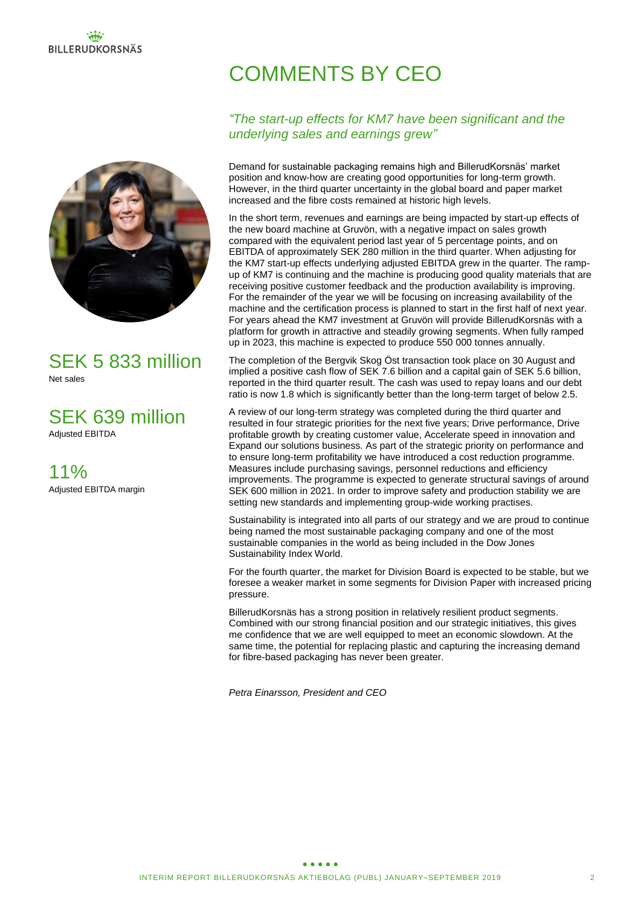

# SEK 5 833 million Net sales

SEK 639 million Adjusted EBITDA

11% Adjusted EBITDA margin

# COMMENTS BY CEO

# *"The start-up effects for KM7 have been significant and the underlying sales and earnings grew"*

Demand for sustainable packaging remains high and BillerudKorsnäs' market position and know-how are creating good opportunities for long-term growth. However, in the third quarter uncertainty in the global board and paper market increased and the fibre costs remained at historic high levels.

In the short term, revenues and earnings are being impacted by start-up effects of the new board machine at Gruvön, with a negative impact on sales growth compared with the equivalent period last year of 5 percentage points, and on EBITDA of approximately SEK 280 million in the third quarter. When adjusting for the KM7 start-up effects underlying adjusted EBITDA grew in the quarter. The rampup of KM7 is continuing and the machine is producing good quality materials that are receiving positive customer feedback and the production availability is improving. For the remainder of the year we will be focusing on increasing availability of the machine and the certification process is planned to start in the first half of next year. For years ahead the KM7 investment at Gruvön will provide BillerudKorsnäs with a platform for growth in attractive and steadily growing segments. When fully ramped up in 2023, this machine is expected to produce 550 000 tonnes annually.

The completion of the Bergvik Skog Öst transaction took place on 30 August and implied a positive cash flow of SEK 7.6 billion and a capital gain of SEK 5.6 billion, reported in the third quarter result. The cash was used to repay loans and our debt ratio is now 1.8 which is significantly better than the long-term target of below 2.5.

A review of our long-term strategy was completed during the third quarter and resulted in four strategic priorities for the next five years; Drive performance, Drive profitable growth by creating customer value, Accelerate speed in innovation and Expand our solutions business. As part of the strategic priority on performance and to ensure long-term profitability we have introduced a cost reduction programme. Measures include purchasing savings, personnel reductions and efficiency improvements. The programme is expected to generate structural savings of around SEK 600 million in 2021. In order to improve safety and production stability we are setting new standards and implementing group-wide working practises.

Sustainability is integrated into all parts of our strategy and we are proud to continue being named the most sustainable packaging company and one of the most sustainable companies in the world as being included in the Dow Jones Sustainability Index World.

For the fourth quarter, the market for Division Board is expected to be stable, but we foresee a weaker market in some segments for Division Paper with increased pricing pressure.

BillerudKorsnäs has a strong position in relatively resilient product segments. Combined with our strong financial position and our strategic initiatives, this gives me confidence that we are well equipped to meet an economic slowdown. At the same time, the potential for replacing plastic and capturing the increasing demand for fibre-based packaging has never been greater.

*Petra Einarsson, President and CEO*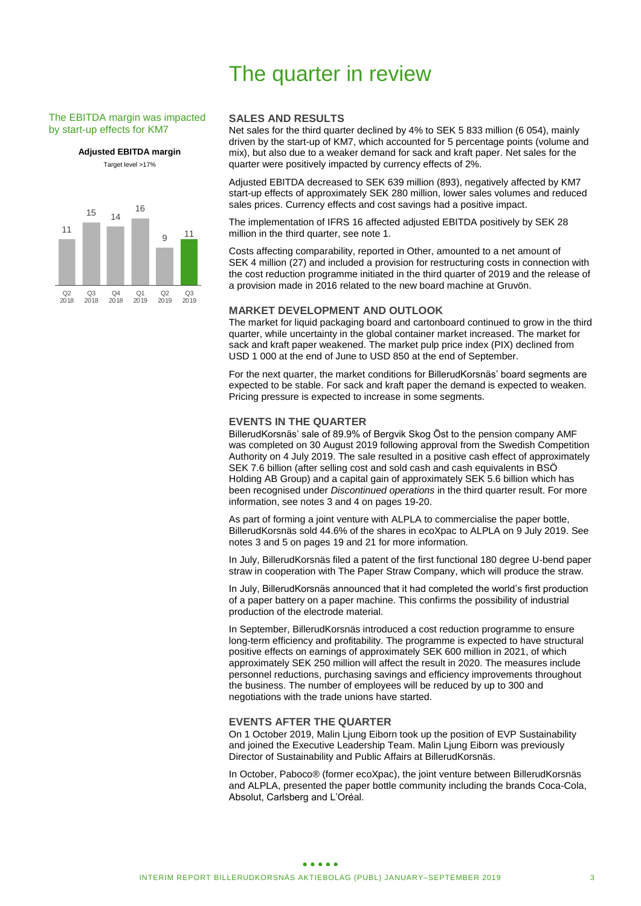# The quarter in review

#### The EBITDA margin was impacted by start-up effects for KM7

**Adjusted EBITDA margin**

Target level >17%



### **SALES AND RESULTS**

Net sales for the third quarter declined by 4% to SEK 5 833 million (6 054), mainly driven by the start-up of KM7, which accounted for 5 percentage points (volume and mix), but also due to a weaker demand for sack and kraft paper. Net sales for the quarter were positively impacted by currency effects of 2%.

Adjusted EBITDA decreased to SEK 639 million (893), negatively affected by KM7 start-up effects of approximately SEK 280 million, lower sales volumes and reduced sales prices. Currency effects and cost savings had a positive impact.

The implementation of IFRS 16 affected adjusted EBITDA positively by SEK 28 million in the third quarter, see note 1.

Costs affecting comparability, reported in Other, amounted to a net amount of SEK 4 million (27) and included a provision for restructuring costs in connection with the cost reduction programme initiated in the third quarter of 2019 and the release of a provision made in 2016 related to the new board machine at Gruvön.

#### **MARKET DEVELOPMENT AND OUTLOOK**

The market for liquid packaging board and cartonboard continued to grow in the third quarter, while uncertainty in the global container market increased. The market for sack and kraft paper weakened. The market pulp price index (PIX) declined from USD 1 000 at the end of June to USD 850 at the end of September.

For the next quarter, the market conditions for BillerudKorsnäs' board segments are expected to be stable. For sack and kraft paper the demand is expected to weaken. Pricing pressure is expected to increase in some segments.

### **EVENTS IN THE QUARTER**

BillerudKorsnäs' sale of 89.9% of Bergvik Skog Öst to the pension company AMF was completed on 30 August 2019 following approval from the Swedish Competition Authority on 4 July 2019. The sale resulted in a positive cash effect of approximately SEK 7.6 billion (after selling cost and sold cash and cash equivalents in BSÖ Holding AB Group) and a capital gain of approximately SEK 5.6 billion which has been recognised under *Discontinued operations* in the third quarter result. For more information, see notes 3 and 4 on pages 19-20.

As part of forming a joint venture with ALPLA to commercialise the paper bottle, BillerudKorsnäs sold 44.6% of the shares in ecoXpac to ALPLA on 9 July 2019. See notes 3 and 5 on pages 19 and 21 for more information.

In July, BillerudKorsnäs filed a patent of the first functional 180 degree U-bend paper straw in cooperation with The Paper Straw Company, which will produce the straw.

In July, BillerudKorsnäs announced that it had completed the world's first production of a paper battery on a paper machine. This confirms the possibility of industrial production of the electrode material.

In September, BillerudKorsnäs introduced a cost reduction programme to ensure long-term efficiency and profitability. The programme is expected to have structural positive effects on earnings of approximately SEK 600 million in 2021, of which approximately SEK 250 million will affect the result in 2020. The measures include personnel reductions, purchasing savings and efficiency improvements throughout the business. The number of employees will be reduced by up to 300 and negotiations with the trade unions have started.

#### **EVENTS AFTER THE QUARTER**

On 1 October 2019, Malin Ljung Eiborn took up the position of EVP Sustainability and joined the Executive Leadership Team. Malin Ljung Eiborn was previously Director of Sustainability and Public Affairs at BillerudKorsnäs.

In October, Paboco® (former ecoXpac), the joint venture between BillerudKorsnäs and ALPLA, presented the paper bottle community including the brands Coca-Cola, Absolut, Carlsberg and L'Oréal.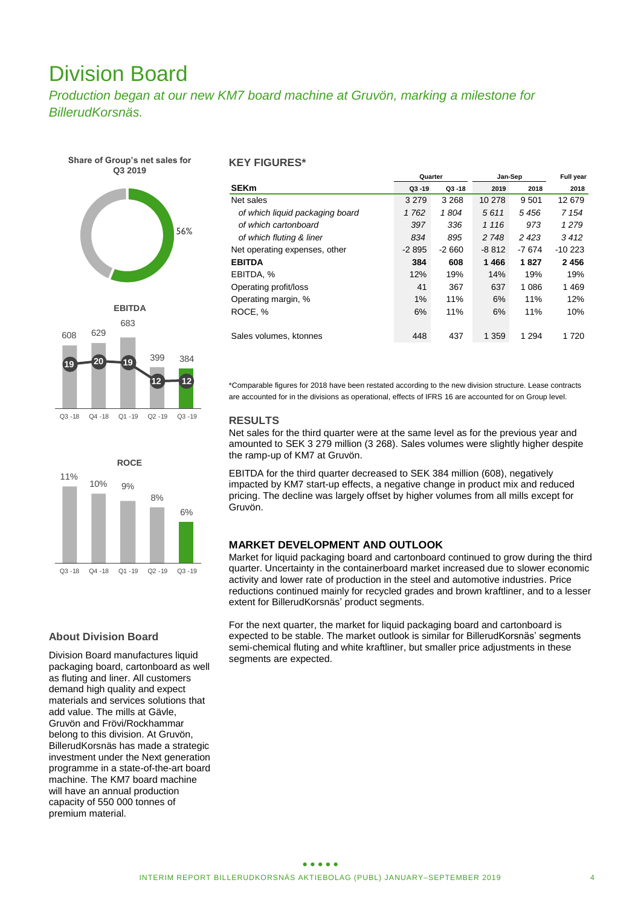# Division Board

*Production began at our new KM7 board machine at Gruvön, marking a milestone for BillerudKorsnäs.*









# **About Division Board**

Division Board manufactures liquid packaging board, cartonboard as well as fluting and liner. All customers demand high quality and expect materials and services solutions that add value. The mills at Gävle, Gruvön and Frövi/Rockhammar belong to this division. At Gruvön, BillerudKorsnäs has made a strategic investment under the Next generation programme in a state-of-the-art board machine. The KM7 board machine will have an annual production capacity of 550 000 tonnes of premium material.

### **KEY FIGURES\***

|                                 | Quarter   |           | Jan-Sep | <b>Full year</b> |          |
|---------------------------------|-----------|-----------|---------|------------------|----------|
| <b>SEKm</b>                     | $Q3 - 19$ | $Q3 - 18$ | 2019    | 2018             | 2018     |
| Net sales                       | 3 2 7 9   | 3 2 6 8   | 10 278  | 9 5 0 1          | 12 679   |
| of which liquid packaging board | 1762      | 1804      | 5611    | 5456             | 7 154    |
| of which cartonboard            | 397       | 336       | 1 1 1 6 | 973              | 1 2 7 9  |
| of which fluting & liner        | 834       | 895       | 2 748   | 2 4 2 3          | 3412     |
| Net operating expenses, other   | $-2895$   | $-2660$   | $-8812$ | -7 674           | $-10223$ |
| <b>EBITDA</b>                   | 384       | 608       | 1466    | 1827             | 2456     |
| EBITDA, %                       | 12%       | 19%       | 14%     | 19%              | 19%      |
| Operating profit/loss           | 41        | 367       | 637     | 1 0 8 6          | 1469     |
| Operating margin, %             | 1%        | 11%       | 6%      | 11%              | 12%      |
| ROCE, %                         | 6%        | 11%       | 6%      | 11%              | 10%      |
|                                 |           |           |         |                  |          |
| Sales volumes, ktonnes          | 448       | 437       | 1 3 5 9 | 1 2 9 4          | 1 7 2 0  |

\*Comparable figures for 2018 have been restated according to the new division structure. Lease contracts are accounted for in the divisions as operational, effects of IFRS 16 are accounted for on Group level.

### **RESULTS**

Net sales for the third quarter were at the same level as for the previous year and amounted to SEK 3 279 million (3 268). Sales volumes were slightly higher despite the ramp-up of KM7 at Gruvön.

EBITDA for the third quarter decreased to SEK 384 million (608), negatively impacted by KM7 start-up effects, a negative change in product mix and reduced pricing. The decline was largely offset by higher volumes from all mills except for Gruvön.

### **MARKET DEVELOPMENT AND OUTLOOK**

Market for liquid packaging board and cartonboard continued to grow during the third quarter. Uncertainty in the containerboard market increased due to slower economic activity and lower rate of production in the steel and automotive industries. Price reductions continued mainly for recycled grades and brown kraftliner, and to a lesser extent for BillerudKorsnäs' product segments.

For the next quarter, the market for liquid packaging board and cartonboard is expected to be stable. The market outlook is similar for BillerudKorsnäs' segments semi-chemical fluting and white kraftliner, but smaller price adjustments in these segments are expected.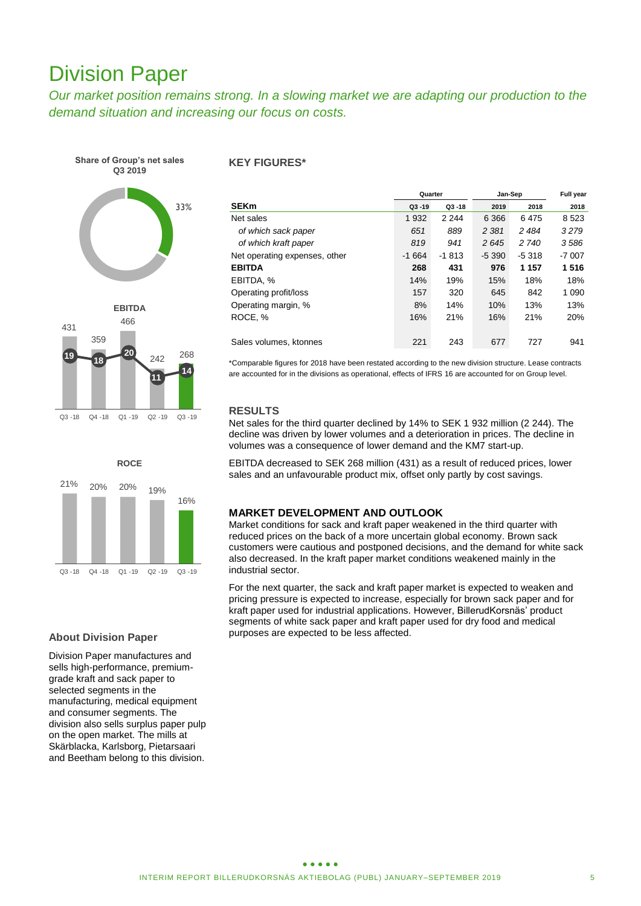# Division Paper

*Our market position remains strong. In a slowing market we are adapting our production to the demand situation and increasing our focus on costs.*

**Share of Group's net sales Q3 2019**







# **About Division Paper**

Division Paper manufactures and sells high-performance, premiumgrade kraft and sack paper to selected seaments in the manufacturing, medical equipment and consumer segments. The division also sells surplus paper pulp on the open market. The mills at Skärblacka, Karlsborg, Pietarsaari and Beetham belong to this division.

### **KEY FIGURES\***

|                               | Jan-Sep<br>Quarter |           |         |          | Full year |  |
|-------------------------------|--------------------|-----------|---------|----------|-----------|--|
| <b>SEKm</b>                   | $Q3 - 19$          | $Q3 - 18$ | 2019    | 2018     | 2018      |  |
| Net sales                     | 1932               | 2 2 4 4   | 6 3 6 6 | 6475     | 8523      |  |
| of which sack paper           | 651                | 889       | 2 3 8 1 | 2 4 8 4  | 3279      |  |
| of which kraft paper          | 819                | 941       | 2645    | 2 740    | 3586      |  |
| Net operating expenses, other | $-1664$            | $-1813$   | $-5390$ | $-5.318$ | $-7007$   |  |
| <b>EBITDA</b>                 | 268                | 431       | 976     | 1 1 5 7  | 1516      |  |
| EBITDA, %                     | 14%                | 19%       | 15%     | 18%      | 18%       |  |
| Operating profit/loss         | 157                | 320       | 645     | 842      | 1 0 9 0   |  |
| Operating margin, %           | 8%                 | 14%       | 10%     | 13%      | 13%       |  |
| ROCE, %                       | 16%                | 21%       | 16%     | 21%      | 20%       |  |
|                               |                    |           |         |          |           |  |
| Sales volumes, ktonnes        | 221                | 243       | 677     | 727      | 941       |  |

\*Comparable figures for 2018 have been restated according to the new division structure. Lease contracts are accounted for in the divisions as operational, effects of IFRS 16 are accounted for on Group level.

# **RESULTS**

Net sales for the third quarter declined by 14% to SEK 1 932 million (2 244). The decline was driven by lower volumes and a deterioration in prices. The decline in volumes was a consequence of lower demand and the KM7 start-up.

EBITDA decreased to SEK 268 million (431) as a result of reduced prices, lower sales and an unfavourable product mix, offset only partly by cost savings.

# **MARKET DEVELOPMENT AND OUTLOOK**

Market conditions for sack and kraft paper weakened in the third quarter with reduced prices on the back of a more uncertain global economy. Brown sack customers were cautious and postponed decisions, and the demand for white sack also decreased. In the kraft paper market conditions weakened mainly in the industrial sector.

For the next quarter, the sack and kraft paper market is expected to weaken and pricing pressure is expected to increase, especially for brown sack paper and for kraft paper used for industrial applications. However, BillerudKorsnäs' product segments of white sack paper and kraft paper used for dry food and medical purposes are expected to be less affected.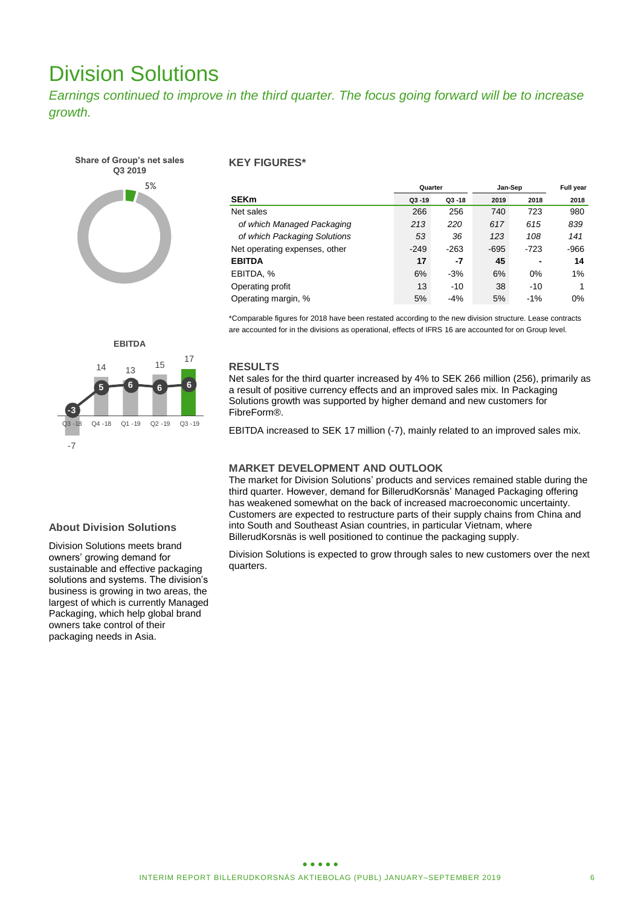# Division Solutions

*Earnings continued to improve in the third quarter. The focus going forward will be to increase growth.* 



# **KEY FIGURES\***

|                               | Jan-Sep<br>Quarter |           |        |       | <b>Full year</b> |  |
|-------------------------------|--------------------|-----------|--------|-------|------------------|--|
| <b>SEKm</b>                   | $Q3 - 19$          | $Q3 - 18$ | 2019   | 2018  | 2018             |  |
| Net sales                     | 266                | 256       | 740    | 723   | 980              |  |
| of which Managed Packaging    | 213                | 220       | 617    | 615   | 839              |  |
| of which Packaging Solutions  | 53                 | 36        | 123    | 108   | 141              |  |
| Net operating expenses, other | $-249$             | $-263$    | $-695$ | -723  | $-966$           |  |
| <b>EBITDA</b>                 | 17                 | -7        | 45     | -     | 14               |  |
| EBITDA, %                     | 6%                 | $-3%$     | 6%     | 0%    | 1%               |  |
| Operating profit              | 13                 | $-10$     | 38     | $-10$ |                  |  |
| Operating margin, %           | 5%                 | $-4%$     | 5%     | $-1%$ | 0%               |  |

\*Comparable figures for 2018 have been restated according to the new division structure. Lease contracts are accounted for in the divisions as operational, effects of IFRS 16 are accounted for on Group level.



### **RESULTS**

Net sales for the third quarter increased by 4% to SEK 266 million (256), primarily as a result of positive currency effects and an improved sales mix. In Packaging Solutions growth was supported by higher demand and new customers for FibreForm®.

EBITDA increased to SEK 17 million (-7), mainly related to an improved sales mix.

# **MARKET DEVELOPMENT AND OUTLOOK**

The market for Division Solutions' products and services remained stable during the third quarter. However, demand for BillerudKorsnäs' Managed Packaging offering has weakened somewhat on the back of increased macroeconomic uncertainty. Customers are expected to restructure parts of their supply chains from China and into South and Southeast Asian countries, in particular Vietnam, where BillerudKorsnäs is well positioned to continue the packaging supply.

Division Solutions is expected to grow through sales to new customers over the next quarters.

# **About Division Solutions**

Division Solutions meets brand owners' growing demand for sustainable and effective packaging solutions and systems. The division's business is growing in two areas, the largest of which is currently Managed Packaging, which help global brand owners take control of their packaging needs in Asia.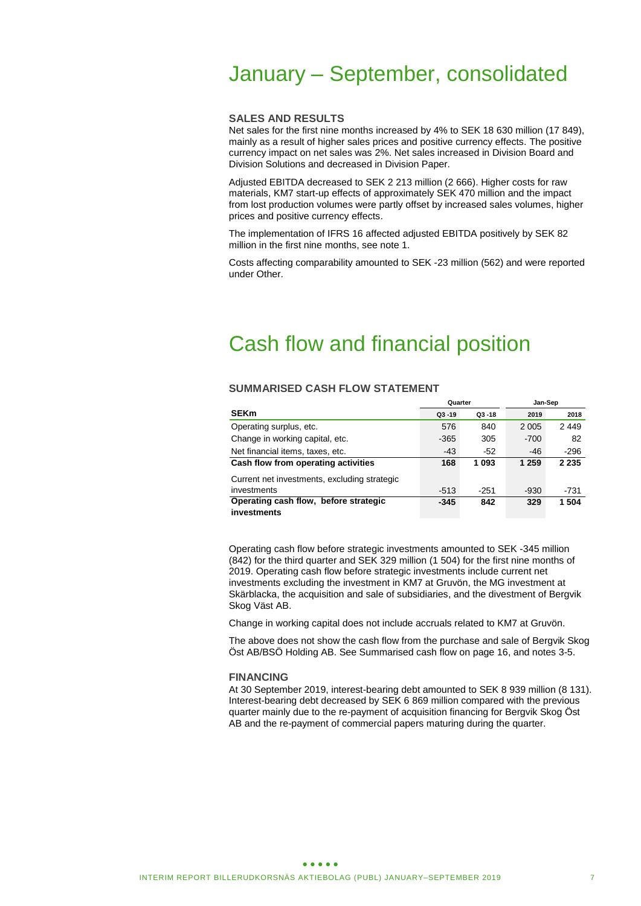# January – September, consolidated

### **SALES AND RESULTS**

Net sales for the first nine months increased by 4% to SEK 18 630 million (17 849), mainly as a result of higher sales prices and positive currency effects. The positive currency impact on net sales was 2%. Net sales increased in Division Board and Division Solutions and decreased in Division Paper.

Adjusted EBITDA decreased to SEK 2 213 million (2 666). Higher costs for raw materials, KM7 start-up effects of approximately SEK 470 million and the impact from lost production volumes were partly offset by increased sales volumes, higher prices and positive currency effects.

The implementation of IFRS 16 affected adjusted EBITDA positively by SEK 82 million in the first nine months, see note 1.

Costs affecting comparability amounted to SEK -23 million (562) and were reported under Other.

# Cash flow and financial position

### **SUMMARISED CASH FLOW STATEMENT**

|                                              | Quarter   |           | Jan-Sep |         |  |
|----------------------------------------------|-----------|-----------|---------|---------|--|
| <b>SEKm</b>                                  | $Q3 - 19$ | $Q3 - 18$ | 2019    | 2018    |  |
| Operating surplus, etc.                      | 576       | 840       | 2 0 0 5 | 2449    |  |
| Change in working capital, etc.              | $-365$    | 305       | $-700$  | 82      |  |
| Net financial items, taxes, etc.             | $-43$     | $-52$     | $-46$   | -296    |  |
| Cash flow from operating activities          | 168       | 1 0 9 3   | 1 259   | 2 2 3 5 |  |
| Current net investments, excluding strategic |           |           |         |         |  |
| investments                                  | $-513$    | $-251$    | $-930$  | $-731$  |  |
| Operating cash flow, before strategic        | $-345$    | 842       | 329     | 1 504   |  |
| investments                                  |           |           |         |         |  |

Operating cash flow before strategic investments amounted to SEK -345 million (842) for the third quarter and SEK 329 million (1 504) for the first nine months of 2019. Operating cash flow before strategic investments include current net investments excluding the investment in KM7 at Gruvön, the MG investment at Skärblacka, the acquisition and sale of subsidiaries, and the divestment of Bergvik Skog Väst AB.

Change in working capital does not include accruals related to KM7 at Gruvön.

The above does not show the cash flow from the purchase and sale of Bergvik Skog Öst AB/BSÖ Holding AB. See Summarised cash flow on page 16, and notes 3-5.

#### **FINANCING**

At 30 September 2019, interest-bearing debt amounted to SEK 8 939 million (8 131). Interest-bearing debt decreased by SEK 6 869 million compared with the previous quarter mainly due to the re-payment of acquisition financing for Bergvik Skog Öst AB and the re-payment of commercial papers maturing during the quarter.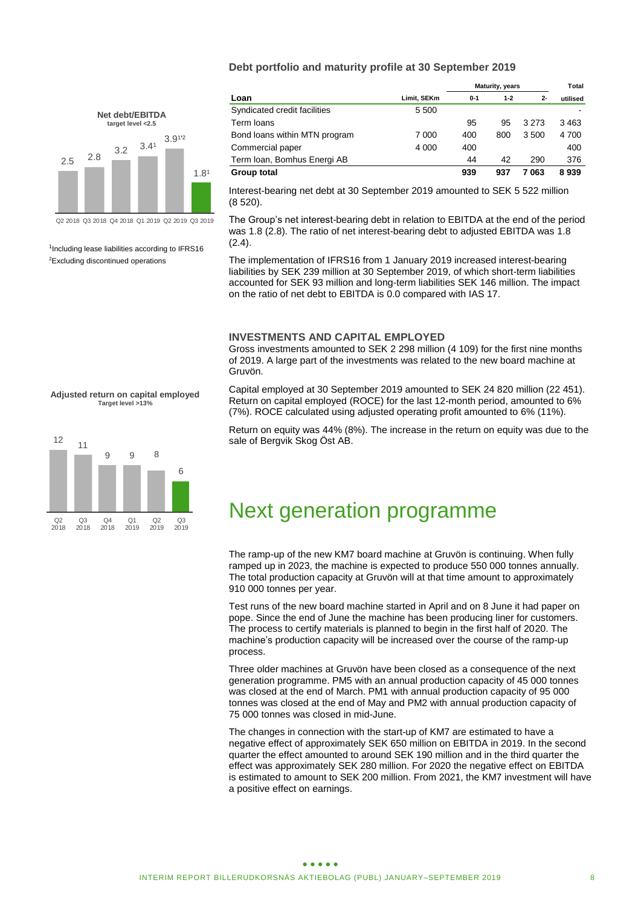### **Debt portfolio and maturity profile at 30 September 2019**

|                                                 |     | <b>Net debt/EBITDA</b><br>target level <2.5 |  |                  |                   |                  |  |
|-------------------------------------------------|-----|---------------------------------------------|--|------------------|-------------------|------------------|--|
| 2.5                                             | 2.8 | 3.2                                         |  | 3.4 <sup>1</sup> | 3.9 <sup>12</sup> | 1.8 <sup>1</sup> |  |
| Q2 2018 Q3 2018 Q4 2018 Q1 2019 Q2 2019 Q3 2019 |     |                                             |  |                  |                   |                  |  |

<sup>1</sup>Including lease liabilities according to IFRS16 <sup>2</sup>Excluding discontinued operations

**Adjusted return on capital employed Target level >13%**



|                               |             | <b>Maturity, years</b> |         |         | Total    |
|-------------------------------|-------------|------------------------|---------|---------|----------|
| Loan                          | Limit, SEKm | $0 - 1$                | $1 - 2$ | $2 -$   | utilised |
| Syndicated credit facilities  | 5 500       |                        |         |         |          |
| Term loans                    |             | 95                     | 95      | 3 2 7 3 | 3463     |
| Bond loans within MTN program | 7 000       | 400                    | 800     | 3 500   | 4 700    |
| Commercial paper              | 4 0 0 0     | 400                    |         |         | 400      |
| Term Ioan, Bomhus Energi AB   |             | 44                     | 42      | 290     | 376      |
| <b>Group total</b>            |             | 939                    | 937     | 7 063   | 8939     |

Interest-bearing net debt at 30 September 2019 amounted to SEK 5 522 million (8 520).

The Group's net interest-bearing debt in relation to EBITDA at the end of the period was 1.8 (2.8). The ratio of net interest-bearing debt to adjusted EBITDA was 1.8 (2.4).

The implementation of IFRS16 from 1 January 2019 increased interest-bearing liabilities by SEK 239 million at 30 September 2019, of which short-term liabilities accounted for SEK 93 million and long-term liabilities SEK 146 million. The impact on the ratio of net debt to EBITDA is 0.0 compared with IAS 17.

#### **INVESTMENTS AND CAPITAL EMPLOYED**

Gross investments amounted to SEK 2 298 million (4 109) for the first nine months of 2019. A large part of the investments was related to the new board machine at Gruvön.

Capital employed at 30 September 2019 amounted to SEK 24 820 million (22 451). Return on capital employed (ROCE) for the last 12-month period, amounted to 6% (7%). ROCE calculated using adjusted operating profit amounted to 6% (11%).

Return on equity was 44% (8%). The increase in the return on equity was due to the sale of Bergvik Skog Öst AB.

# Next generation programme

The ramp-up of the new KM7 board machine at Gruvön is continuing. When fully ramped up in 2023, the machine is expected to produce 550 000 tonnes annually. The total production capacity at Gruvön will at that time amount to approximately 910 000 tonnes per year.

Test runs of the new board machine started in April and on 8 June it had paper on pope. Since the end of June the machine has been producing liner for customers. The process to certify materials is planned to begin in the first half of 2020. The machine's production capacity will be increased over the course of the ramp-up process.

Three older machines at Gruvön have been closed as a consequence of the next generation programme. PM5 with an annual production capacity of 45 000 tonnes was closed at the end of March. PM1 with annual production capacity of 95 000 tonnes was closed at the end of May and PM2 with annual production capacity of 75 000 tonnes was closed in mid-June.

The changes in connection with the start-up of KM7 are estimated to have a negative effect of approximately SEK 650 million on EBITDA in 2019. In the second quarter the effect amounted to around SEK 190 million and in the third quarter the effect was approximately SEK 280 million. For 2020 the negative effect on EBITDA is estimated to amount to SEK 200 million. From 2021, the KM7 investment will have a positive effect on earnings.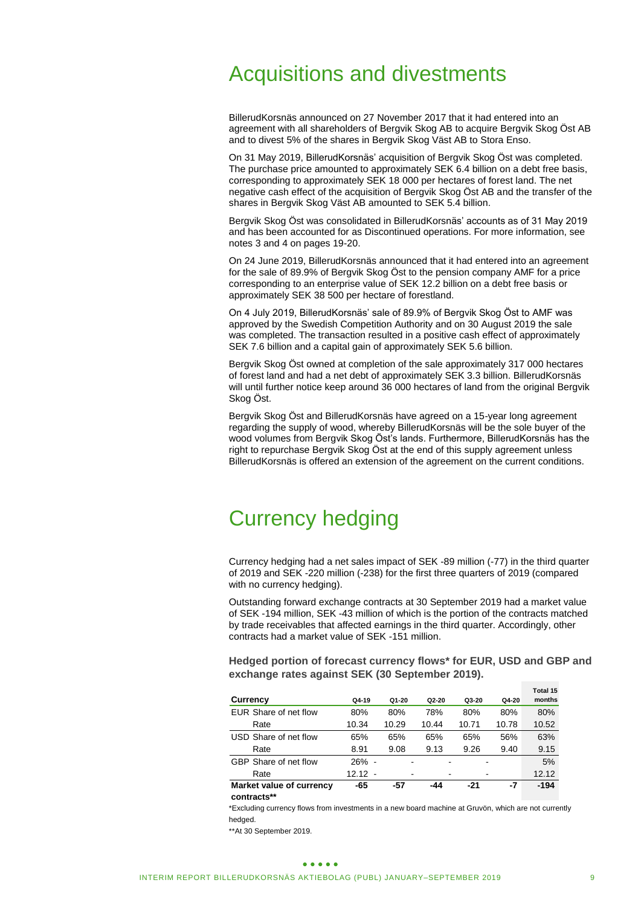# Acquisitions and divestments

BillerudKorsnäs announced on 27 November 2017 that it had entered into an agreement with all shareholders of Bergvik Skog AB to acquire Bergvik Skog Öst AB and to divest 5% of the shares in Bergvik Skog Väst AB to Stora Enso.

On 31 May 2019, BillerudKorsnäs' acquisition of Bergvik Skog Öst was completed. The purchase price amounted to approximately SEK 6.4 billion on a debt free basis, corresponding to approximately SEK 18 000 per hectares of forest land. The net negative cash effect of the acquisition of Bergvik Skog Öst AB and the transfer of the shares in Bergvik Skog Väst AB amounted to SEK 5.4 billion.

Bergvik Skog Öst was consolidated in BillerudKorsnäs' accounts as of 31 May 2019 and has been accounted for as Discontinued operations. For more information, see notes 3 and 4 on pages 19-20.

On 24 June 2019, BillerudKorsnäs announced that it had entered into an agreement for the sale of 89.9% of Bergvik Skog Öst to the pension company AMF for a price corresponding to an enterprise value of SEK 12.2 billion on a debt free basis or approximately SEK 38 500 per hectare of forestland.

On 4 July 2019, BillerudKorsnäs' sale of 89.9% of Bergvik Skog Öst to AMF was approved by the Swedish Competition Authority and on 30 August 2019 the sale was completed. The transaction resulted in a positive cash effect of approximately SEK 7.6 billion and a capital gain of approximately SEK 5.6 billion.

Bergvik Skog Öst owned at completion of the sale approximately 317 000 hectares of forest land and had a net debt of approximately SEK 3.3 billion. BillerudKorsnäs will until further notice keep around 36 000 hectares of land from the original Bergvik Skog Öst.

Bergvik Skog Öst and BillerudKorsnäs have agreed on a 15-year long agreement regarding the supply of wood, whereby BillerudKorsnäs will be the sole buyer of the wood volumes from Bergvik Skog Öst's lands. Furthermore, BillerudKorsnäs has the right to repurchase Bergvik Skog Öst at the end of this supply agreement unless BillerudKorsnäs is offered an extension of the agreement on the current conditions.

# Currency hedging

Currency hedging had a net sales impact of SEK -89 million (-77) in the third quarter of 2019 and SEK -220 million (-238) for the first three quarters of 2019 (compared with no currency hedging).

Outstanding forward exchange contracts at 30 September 2019 had a market value of SEK -194 million, SEK -43 million of which is the portion of the contracts matched by trade receivables that affected earnings in the third quarter. Accordingly, other contracts had a market value of SEK -151 million.

**Hedged portion of forecast currency flows\* for EUR, USD and GBP and exchange rates against SEK (30 September 2019).**

| Currency                                                                                                        | Q4-19     | $Q1 - 20$ | $Q2 - 20$ | Q3-20 | Q4-20 | Total 15<br>months |
|-----------------------------------------------------------------------------------------------------------------|-----------|-----------|-----------|-------|-------|--------------------|
| EUR Share of net flow                                                                                           | 80%       | 80%       | 78%       | 80%   | 80%   | 80%                |
| Rate                                                                                                            | 10.34     | 10.29     | 10.44     | 10.71 | 10.78 | 10.52              |
| USD Share of net flow                                                                                           | 65%       | 65%       | 65%       | 65%   | 56%   | 63%                |
| Rate                                                                                                            | 8.91      | 9.08      | 9.13      | 9.26  | 9.40  | 9.15               |
| GBP Share of net flow                                                                                           | 26% -     |           |           |       |       | 5%                 |
| Rate                                                                                                            | $12.12 -$ |           |           |       |       | 12.12              |
| Market value of currency                                                                                        | -65       | -57       | -44       | $-21$ | -7    | $-194$             |
| the contract of the contract of the contract of the contract of the contract of the contract of the contract of |           |           |           |       |       |                    |

**contracts\*\*** 

\*Excluding currency flows from investments in a new board machine at Gruvön, which are not currently hedged.

\*\*At 30 September 2019.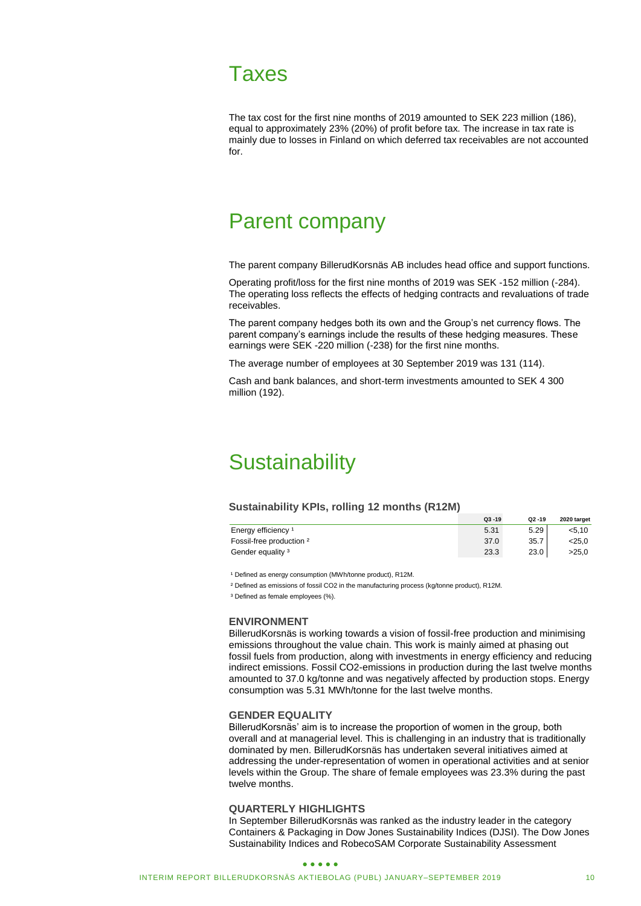# Taxes

The tax cost for the first nine months of 2019 amounted to SEK 223 million (186), equal to approximately 23% (20%) of profit before tax. The increase in tax rate is mainly due to losses in Finland on which deferred tax receivables are not accounted for.

# Parent company

The parent company BillerudKorsnäs AB includes head office and support functions.

Operating profit/loss for the first nine months of 2019 was SEK -152 million (-284). The operating loss reflects the effects of hedging contracts and revaluations of trade receivables.

The parent company hedges both its own and the Group's net currency flows. The parent company's earnings include the results of these hedging measures. These earnings were SEK -220 million (-238) for the first nine months.

The average number of employees at 30 September 2019 was 131 (114).

Cash and bank balances, and short-term investments amounted to SEK 4 300 million (192).

# **Sustainability**

#### **Sustainability KPIs, rolling 12 months (R12M)**

|                                | $Q3 - 19$ | $Q2 - 19$ | 2020 target |
|--------------------------------|-----------|-----------|-------------|
| Energy efficiency <sup>1</sup> | 5.31      | 5.29      | 5.10        |
| Fossil-free production 2       | 37.0      | 35.7      | <25.0       |
| Gender equality <sup>3</sup>   | 23.3      | 23.0      | >25.0       |

<sup>1</sup> Defined as energy consumption (MWh/tonne product), R12M.

² Defined as emissions of fossil CO2 in the manufacturing process (kg/tonne product), R12M.

<sup>3</sup> Defined as female employees (%).

#### **ENVIRONMENT**

BillerudKorsnäs is working towards a vision of fossil-free production and minimising emissions throughout the value chain. This work is mainly aimed at phasing out fossil fuels from production, along with investments in energy efficiency and reducing indirect emissions. Fossil CO2-emissions in production during the last twelve months amounted to 37.0 kg/tonne and was negatively affected by production stops. Energy consumption was 5.31 MWh/tonne for the last twelve months.

#### **GENDER EQUALITY**

BillerudKorsnäs' aim is to increase the proportion of women in the group, both overall and at managerial level. This is challenging in an industry that is traditionally dominated by men. BillerudKorsnäs has undertaken several initiatives aimed at addressing the under-representation of women in operational activities and at senior levels within the Group. The share of female employees was 23.3% during the past twelve months.

### **QUARTERLY HIGHLIGHTS**

In September BillerudKorsnäs was ranked as the industry leader in the category Containers & Packaging in Dow Jones Sustainability Indices (DJSI). The Dow Jones Sustainability Indices and RobecoSAM Corporate Sustainability Assessment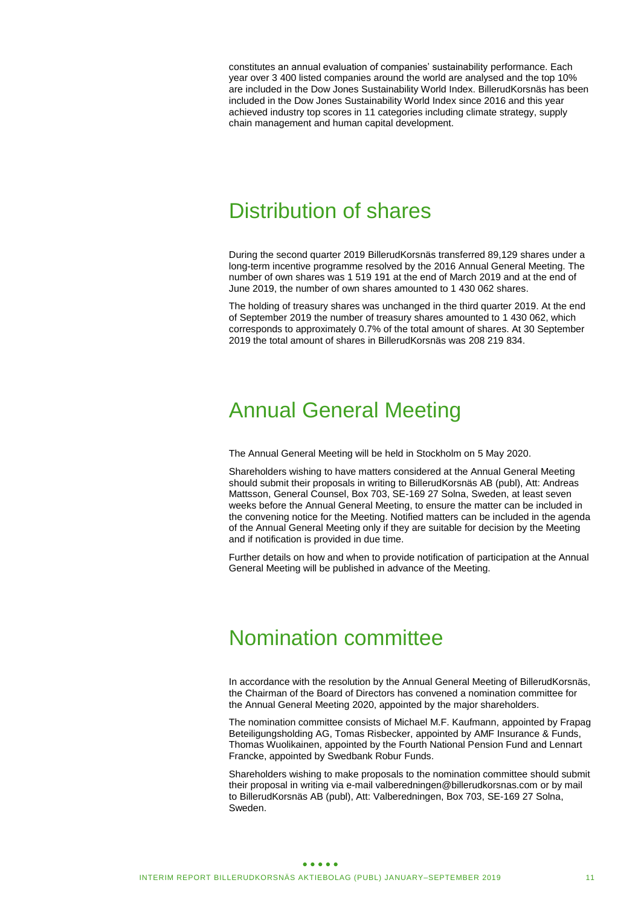constitutes an annual evaluation of companies' sustainability performance. Each year over 3 400 listed companies around the world are analysed and the top 10% are included in the Dow Jones Sustainability World Index. BillerudKorsnäs has been included in the Dow Jones Sustainability World Index since 2016 and this year achieved industry top scores in 11 categories including climate strategy, supply chain management and human capital development.

# Distribution of shares

During the second quarter 2019 BillerudKorsnäs transferred 89,129 shares under a long-term incentive programme resolved by the 2016 Annual General Meeting. The number of own shares was 1 519 191 at the end of March 2019 and at the end of June 2019, the number of own shares amounted to 1 430 062 shares.

The holding of treasury shares was unchanged in the third quarter 2019. At the end of September 2019 the number of treasury shares amounted to 1 430 062, which corresponds to approximately 0.7% of the total amount of shares. At 30 September 2019 the total amount of shares in BillerudKorsnäs was 208 219 834.

# Annual General Meeting

The Annual General Meeting will be held in Stockholm on 5 May 2020.

Shareholders wishing to have matters considered at the Annual General Meeting should submit their proposals in writing to BillerudKorsnäs AB (publ), Att: Andreas Mattsson, General Counsel, Box 703, SE-169 27 Solna, Sweden, at least seven weeks before the Annual General Meeting, to ensure the matter can be included in the convening notice for the Meeting. Notified matters can be included in the agenda of the Annual General Meeting only if they are suitable for decision by the Meeting and if notification is provided in due time.

Further details on how and when to provide notification of participation at the Annual General Meeting will be published in advance of the Meeting.

# Nomination committee

In accordance with the resolution by the Annual General Meeting of BillerudKorsnäs, the Chairman of the Board of Directors has convened a nomination committee for the Annual General Meeting 2020, appointed by the major shareholders.

The nomination committee consists of Michael M.F. Kaufmann, appointed by Frapag Beteiligungsholding AG, Tomas Risbecker, appointed by AMF Insurance & Funds, Thomas Wuolikainen, appointed by the Fourth National Pension Fund and Lennart Francke, appointed by Swedbank Robur Funds.

Shareholders wishing to make proposals to the nomination committee should submit their proposal in writing via e-mail valberedningen@billerudkorsnas.com or by mail to BillerudKorsnäs AB (publ), Att: Valberedningen, Box 703, SE-169 27 Solna, Sweden.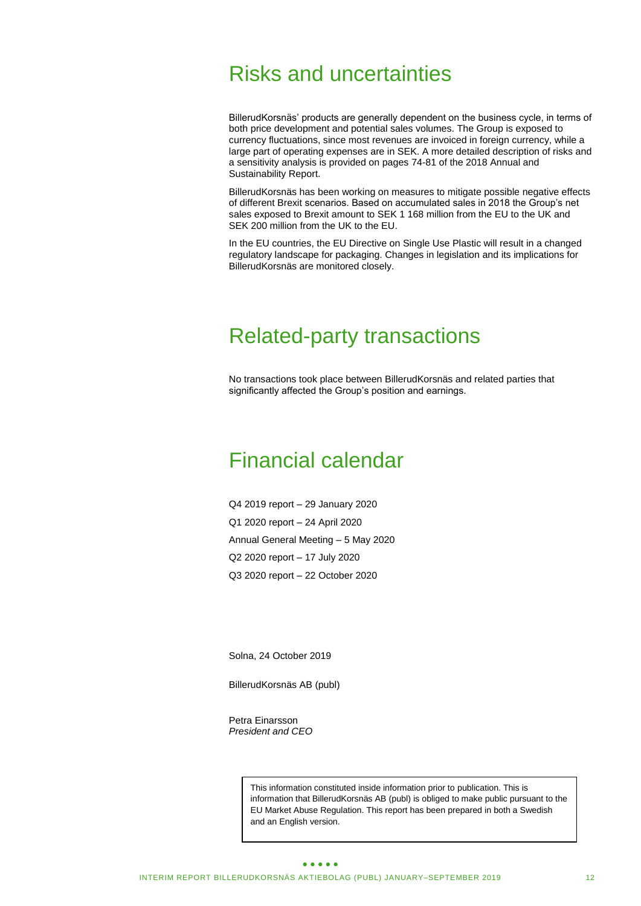# Risks and uncertainties

BillerudKorsnäs' products are generally dependent on the business cycle, in terms of both price development and potential sales volumes. The Group is exposed to currency fluctuations, since most revenues are invoiced in foreign currency, while a large part of operating expenses are in SEK. A more detailed description of risks and a sensitivity analysis is provided on pages 74-81 of the 2018 Annual and Sustainability Report.

BillerudKorsnäs has been working on measures to mitigate possible negative effects of different Brexit scenarios. Based on accumulated sales in 2018 the Group's net sales exposed to Brexit amount to SEK 1 168 million from the EU to the UK and SEK 200 million from the UK to the EU.

In the EU countries, the EU Directive on Single Use Plastic will result in a changed regulatory landscape for packaging. Changes in legislation and its implications for BillerudKorsnäs are monitored closely.

# Related-party transactions

No transactions took place between BillerudKorsnäs and related parties that significantly affected the Group's position and earnings.

# Financial calendar

Q4 2019 report – 29 January 2020 Q1 2020 report – 24 April 2020 Annual General Meeting – 5 May 2020 Q2 2020 report – 17 July 2020 Q3 2020 report – 22 October 2020

Solna, 24 October 2019

BillerudKorsnäs AB (publ)

Petra Einarsson *President and CEO*

> This information constituted inside information prior to publication. This is information that BillerudKorsnäs AB (publ) is obliged to make public pursuant to the EU Market Abuse Regulation. This report has been prepared in both a Swedish and an English version.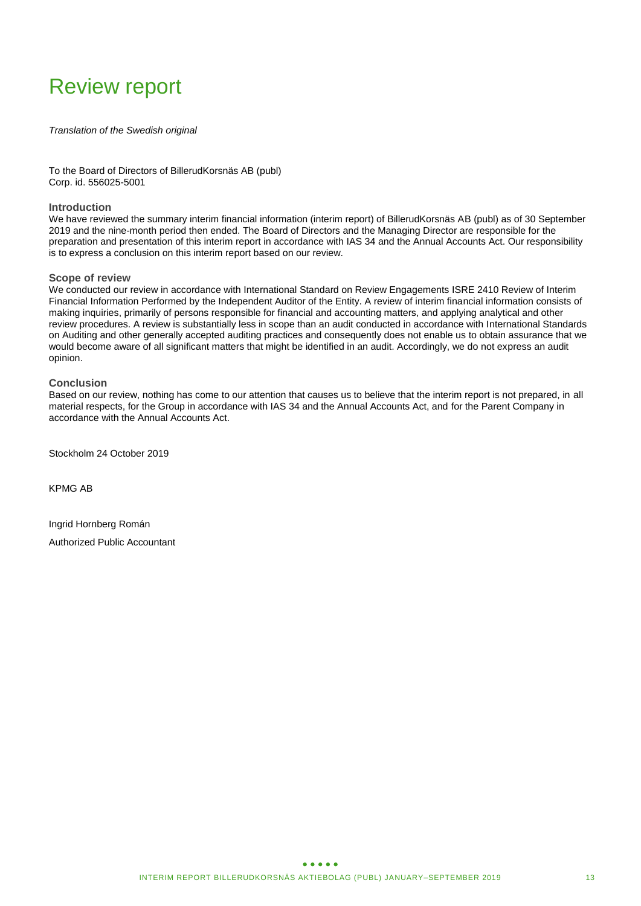# Review report

*Translation of the Swedish original*

To the Board of Directors of BillerudKorsnäs AB (publ) Corp. id. 556025-5001

### **Introduction**

We have reviewed the summary interim financial information (interim report) of BillerudKorsnäs AB (publ) as of 30 September 2019 and the nine-month period then ended. The Board of Directors and the Managing Director are responsible for the preparation and presentation of this interim report in accordance with IAS 34 and the Annual Accounts Act. Our responsibility is to express a conclusion on this interim report based on our review.

### **Scope of review**

We conducted our review in accordance with International Standard on Review Engagements ISRE 2410 Review of Interim Financial Information Performed by the Independent Auditor of the Entity. A review of interim financial information consists of making inquiries, primarily of persons responsible for financial and accounting matters, and applying analytical and other review procedures. A review is substantially less in scope than an audit conducted in accordance with International Standards on Auditing and other generally accepted auditing practices and consequently does not enable us to obtain assurance that we would become aware of all significant matters that might be identified in an audit. Accordingly, we do not express an audit opinion.

### **Conclusion**

Based on our review, nothing has come to our attention that causes us to believe that the interim report is not prepared, in all material respects, for the Group in accordance with IAS 34 and the Annual Accounts Act, and for the Parent Company in accordance with the Annual Accounts Act.

Stockholm 24 October 2019

KPMG AB

Ingrid Hornberg Román Authorized Public Accountant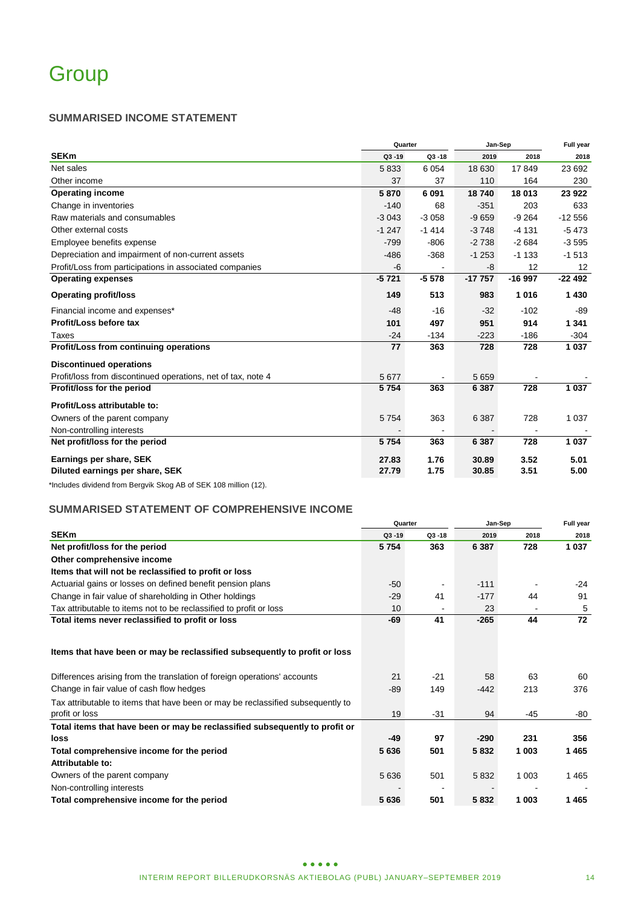# **SUMMARISED INCOME STATEMENT**

|                                                              | Quarter   |           | Jan-Sep  | Full year |          |
|--------------------------------------------------------------|-----------|-----------|----------|-----------|----------|
| <b>SEKm</b>                                                  | $Q3 - 19$ | $Q3 - 18$ | 2019     | 2018      | 2018     |
| Net sales                                                    | 5833      | 6 0 5 4   | 18 630   | 17849     | 23 692   |
| Other income                                                 | 37        | 37        | 110      | 164       | 230      |
| <b>Operating income</b>                                      | 5870      | 6 0 9 1   | 18740    | 18 013    | 23 922   |
| Change in inventories                                        | $-140$    | 68        | $-351$   | 203       | 633      |
| Raw materials and consumables                                | $-3043$   | $-3058$   | $-9659$  | $-9264$   | $-12556$ |
| Other external costs                                         | $-1247$   | $-1414$   | $-3748$  | $-4131$   | $-5473$  |
| Employee benefits expense                                    | $-799$    | $-806$    | $-2738$  | $-2684$   | $-3595$  |
| Depreciation and impairment of non-current assets            | $-486$    | $-368$    | $-1253$  | $-1133$   | $-1513$  |
| Profit/Loss from participations in associated companies      | $-6$      |           | -8       | 12        | 12       |
| <b>Operating expenses</b>                                    | $-5721$   | $-5578$   | $-17757$ | $-16997$  | $-22492$ |
| <b>Operating profit/loss</b>                                 | 149       | 513       | 983      | 1016      | 1 4 3 0  |
| Financial income and expenses*                               | $-48$     | $-16$     | $-32$    | $-102$    | -89      |
| Profit/Loss before tax                                       | 101       | 497       | 951      | 914       | 1 3 4 1  |
| Taxes                                                        | $-24$     | $-134$    | $-223$   | $-186$    | $-304$   |
| Profit/Loss from continuing operations                       | 77        | 363       | 728      | 728       | 1 0 3 7  |
| <b>Discontinued operations</b>                               |           |           |          |           |          |
| Profit/loss from discontinued operations, net of tax, note 4 | 5 6 7 7   |           | 5659     |           |          |
| Profit/loss for the period                                   | 5754      | 363       | 6 3 8 7  | 728       | 1 0 3 7  |
| Profit/Loss attributable to:                                 |           |           |          |           |          |
| Owners of the parent company                                 | 5754      | 363       | 6 3 8 7  | 728       | 1 0 3 7  |
| Non-controlling interests                                    |           |           |          |           |          |
| Net profit/loss for the period                               | 5754      | 363       | 6 3 8 7  | 728       | 1 0 3 7  |
| Earnings per share, SEK                                      | 27.83     | 1.76      | 30.89    | 3.52      | 5.01     |
| Diluted earnings per share, SEK                              | 27.79     | 1.75      | 30.85    | 3.51      | 5.00     |

\*Includes dividend from Bergvik Skog AB of SEK 108 million (12).

# **SUMMARISED STATEMENT OF COMPREHENSIVE INCOME**

|                                                                                                   |           | Quarter   | Jan-Sep | Full year |         |
|---------------------------------------------------------------------------------------------------|-----------|-----------|---------|-----------|---------|
| <b>SEKm</b>                                                                                       | $Q3 - 19$ | $Q3 - 18$ | 2019    | 2018      | 2018    |
| Net profit/loss for the period                                                                    | 5754      | 363       | 6 3 8 7 | 728       | 1 0 3 7 |
| Other comprehensive income                                                                        |           |           |         |           |         |
| Items that will not be reclassified to profit or loss                                             |           |           |         |           |         |
| Actuarial gains or losses on defined benefit pension plans                                        | $-50$     | ٠         | $-111$  |           | -24     |
| Change in fair value of shareholding in Other holdings                                            | $-29$     | 41        | $-177$  | 44        | 91      |
| Tax attributable to items not to be reclassified to profit or loss                                | 10        |           | 23      |           | 5       |
| Total items never reclassified to profit or loss                                                  | -69       | 41        | $-265$  | 44        | 72      |
| Items that have been or may be reclassified subsequently to profit or loss                        |           |           |         |           |         |
| Differences arising from the translation of foreign operations' accounts                          | 21        | $-21$     | 58      | 63        | 60      |
| Change in fair value of cash flow hedges                                                          | $-89$     | 149       | -442    | 213       | 376     |
| Tax attributable to items that have been or may be reclassified subsequently to<br>profit or loss | 19        | $-31$     | 94      | $-45$     | -80     |
| Total items that have been or may be reclassified subsequently to profit or                       |           |           |         |           |         |
| loss                                                                                              | $-49$     | 97        | $-290$  | 231       | 356     |
| Total comprehensive income for the period                                                         | 5636      | 501       | 5832    | 1 003     | 1465    |
| Attributable to:                                                                                  |           |           |         |           |         |
| Owners of the parent company                                                                      | 5636      | 501       | 5 8 3 2 | 1 0 0 3   | 1465    |
| Non-controlling interests                                                                         |           |           |         |           |         |
| Total comprehensive income for the period                                                         | 5636      | 501       | 5832    | 1 003     | 1465    |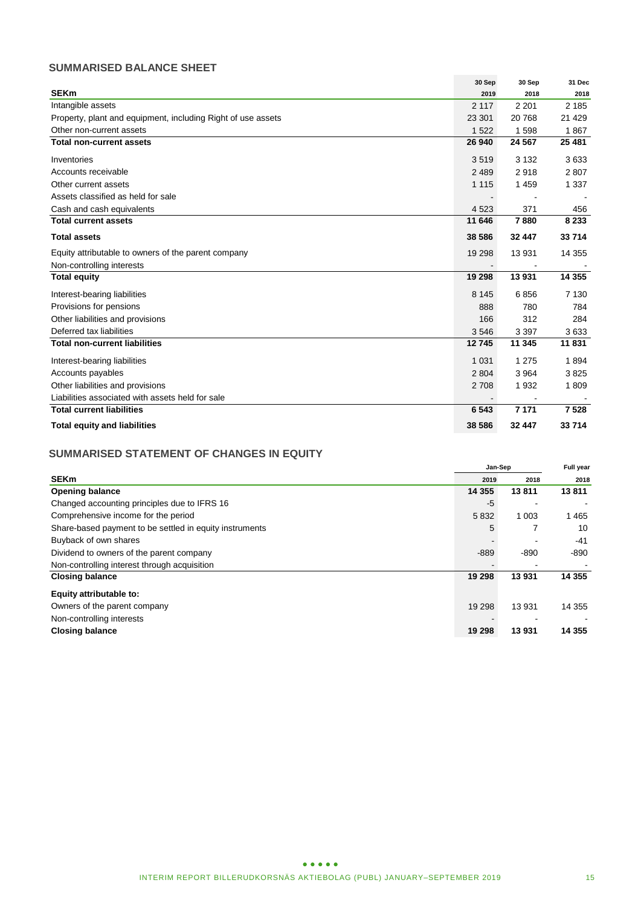# **SUMMARISED BALANCE SHEET**

|                                                              | 30 Sep  | 30 Sep  | 31 Dec  |
|--------------------------------------------------------------|---------|---------|---------|
| <b>SEKm</b>                                                  | 2019    | 2018    | 2018    |
| Intangible assets                                            | 2 1 1 7 | 2 2 0 1 | 2 1 8 5 |
| Property, plant and equipment, including Right of use assets | 23 301  | 20768   | 21 4 29 |
| Other non-current assets                                     | 1 5 2 2 | 1598    | 1867    |
| <b>Total non-current assets</b>                              | 26 940  | 24 5 67 | 25 481  |
| Inventories                                                  | 3519    | 3 1 3 2 | 3633    |
| Accounts receivable                                          | 2 4 8 9 | 2918    | 2807    |
| Other current assets                                         | 1 1 1 5 | 1459    | 1 3 3 7 |
| Assets classified as held for sale                           |         |         |         |
| Cash and cash equivalents                                    | 4 5 23  | 371     | 456     |
| <b>Total current assets</b>                                  | 11 646  | 7880    | 8 2 3 3 |
| <b>Total assets</b>                                          | 38 586  | 32 447  | 33 714  |
| Equity attributable to owners of the parent company          | 19 298  | 13 9 31 | 14 3 55 |
| Non-controlling interests                                    |         |         |         |
| <b>Total equity</b>                                          | 19 298  | 13931   | 14 3 55 |
| Interest-bearing liabilities                                 | 8 1 4 5 | 6856    | 7 1 3 0 |
| Provisions for pensions                                      | 888     | 780     | 784     |
| Other liabilities and provisions                             | 166     | 312     | 284     |
| Deferred tax liabilities                                     | 3546    | 3 3 9 7 | 3633    |
| <b>Total non-current liabilities</b>                         | 12745   | 11 345  | 11831   |
| Interest-bearing liabilities                                 | 1 0 3 1 | 1 2 7 5 | 1894    |
| Accounts payables                                            | 2 8 0 4 | 3964    | 3825    |
| Other liabilities and provisions                             | 2 7 0 8 | 1932    | 1809    |
| Liabilities associated with assets held for sale             |         |         |         |
| <b>Total current liabilities</b>                             | 6 5 4 3 | 7 1 7 1 | 7 5 28  |
| <b>Total equity and liabilities</b>                          | 38 586  | 32 447  | 33 714  |

# **SUMMARISED STATEMENT OF CHANGES IN EQUITY**

|                                                         | Jan-Sep  |         | <b>Full year</b> |
|---------------------------------------------------------|----------|---------|------------------|
| <b>SEKm</b>                                             | 2019     | 2018    | 2018             |
| <b>Opening balance</b>                                  | 14 3 5 5 | 13811   | 13811            |
| Changed accounting principles due to IFRS 16            | -5       |         |                  |
| Comprehensive income for the period                     | 5832     | 1 0 0 3 | 1 4 6 5          |
| Share-based payment to be settled in equity instruments | 5        |         | 10               |
| Buyback of own shares                                   |          |         | $-41$            |
| Dividend to owners of the parent company                | $-889$   | $-890$  | -890             |
| Non-controlling interest through acquisition            |          |         |                  |
| <b>Closing balance</b>                                  | 19 298   | 13 931  | 14 3 55          |
| Equity attributable to:                                 |          |         |                  |
| Owners of the parent company                            | 19 29 8  | 13931   | 14 355           |
| Non-controlling interests                               |          |         |                  |
| <b>Closing balance</b>                                  | 19 298   | 13 931  | 14 3 5 5         |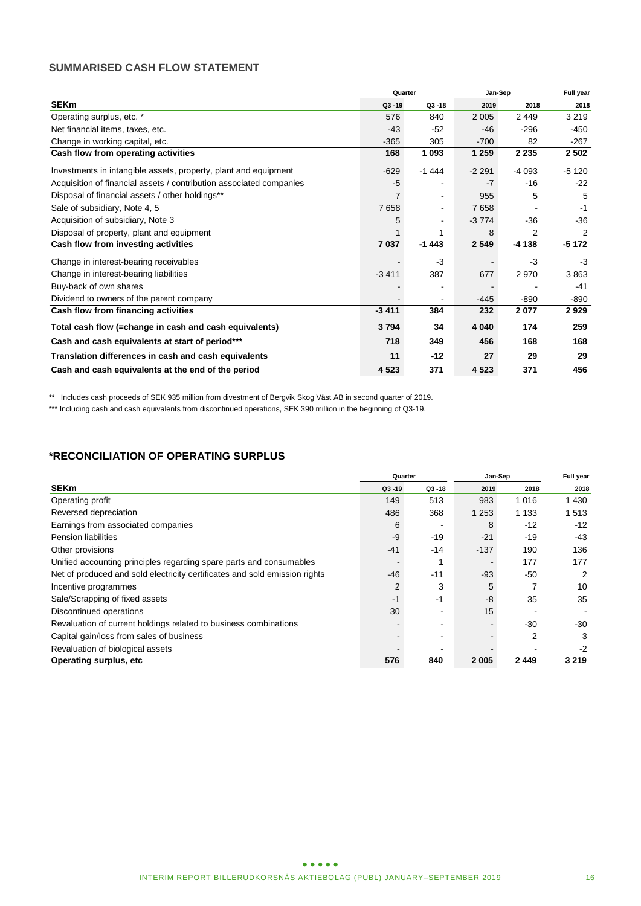# **SUMMARISED CASH FLOW STATEMENT**

|                                                                     | Quarter   |                | Jan-Sep |         | Full year |
|---------------------------------------------------------------------|-----------|----------------|---------|---------|-----------|
| <b>SEKm</b>                                                         | $Q3 - 19$ | $Q3 - 18$      | 2019    | 2018    | 2018      |
| Operating surplus, etc. *                                           | 576       | 840            | 2 0 0 5 | 2449    | 3 2 1 9   |
| Net financial items, taxes, etc.                                    | $-43$     | $-52$          | $-46$   | $-296$  | -450      |
| Change in working capital, etc.                                     | $-365$    | 305            | $-700$  | 82      | $-267$    |
| Cash flow from operating activities                                 | 168       | 1 0 9 3        | 1 2 5 9 | 2 2 3 5 | 2 5 0 2   |
| Investments in intangible assets, property, plant and equipment     | $-629$    | $-1444$        | $-2291$ | $-4093$ | $-5120$   |
| Acquisition of financial assets / contribution associated companies | $-5$      | $\blacksquare$ | $-7$    | $-16$   | $-22$     |
| Disposal of financial assets / other holdings**                     | 7         | $\blacksquare$ | 955     | 5       | 5         |
| Sale of subsidiary, Note 4, 5                                       | 7658      | $\blacksquare$ | 7658    |         | $-1$      |
| Acquisition of subsidiary, Note 3                                   | 5         | $\blacksquare$ | $-3774$ | $-36$   | $-36$     |
| Disposal of property, plant and equipment                           | 1         | 1              | 8       | 2       | 2         |
| Cash flow from investing activities                                 | 7 0 3 7   | $-1443$        | 2 5 4 9 | $-4138$ | $-5172$   |
| Change in interest-bearing receivables                              |           | $-3$           |         | $-3$    | $-3$      |
| Change in interest-bearing liabilities                              | $-3411$   | 387            | 677     | 2970    | 3863      |
| Buy-back of own shares                                              |           | $\blacksquare$ |         |         | $-41$     |
| Dividend to owners of the parent company                            |           | $\blacksquare$ | -445    | $-890$  | -890      |
| Cash flow from financing activities                                 | $-3411$   | 384            | 232     | 2077    | 2929      |
| Total cash flow (=change in cash and cash equivalents)              | 3794      | 34             | 4 0 4 0 | 174     | 259       |
| Cash and cash equivalents at start of period***                     | 718       | 349            | 456     | 168     | 168       |
| Translation differences in cash and cash equivalents                | 11        | $-12$          | 27      | 29      | 29        |
| Cash and cash equivalents at the end of the period                  | 4523      | 371            | 4 5 23  | 371     | 456       |

**\*\*** Includes cash proceeds of SEK 935 million from divestment of Bergvik Skog Väst AB in second quarter of 2019.

\*\*\* Including cash and cash equivalents from discontinued operations, SEK 390 million in the beginning of Q3-19.

# **\*RECONCILIATION OF OPERATING SURPLUS**

|                                                                            |           | Quarter   | Jan-Sep |         | Full year |
|----------------------------------------------------------------------------|-----------|-----------|---------|---------|-----------|
| <b>SEKm</b>                                                                | $Q3 - 19$ | $Q3 - 18$ | 2019    | 2018    | 2018      |
| Operating profit                                                           | 149       | 513       | 983     | 1016    | 1 4 3 0   |
| Reversed depreciation                                                      | 486       | 368       | 1 2 5 3 | 1 1 3 3 | 513       |
| Earnings from associated companies                                         | 6         |           | 8       | $-12$   | $-12$     |
| <b>Pension liabilities</b>                                                 | -9        | $-19$     | $-21$   | $-19$   | -43       |
| Other provisions                                                           | $-41$     | $-14$     | $-137$  | 190     | 136       |
| Unified accounting principles regarding spare parts and consumables        |           |           |         | 177     | 177       |
| Net of produced and sold electricity certificates and sold emission rights | $-46$     | $-11$     | $-93$   | $-50$   | 2         |
| Incentive programmes                                                       | 2         | 3         | 5       |         | 10        |
| Sale/Scrapping of fixed assets                                             | -1        | -1        | -8      | 35      | 35        |
| Discontinued operations                                                    | 30        | -         | 15      |         |           |
| Revaluation of current holdings related to business combinations           |           |           |         | $-30$   | -30       |
| Capital gain/loss from sales of business                                   |           |           |         | 2       | 3         |
| Revaluation of biological assets                                           |           |           |         |         | -2        |
| Operating surplus, etc                                                     | 576       | 840       | 2 0 0 5 | 2449    | 3 2 1 9   |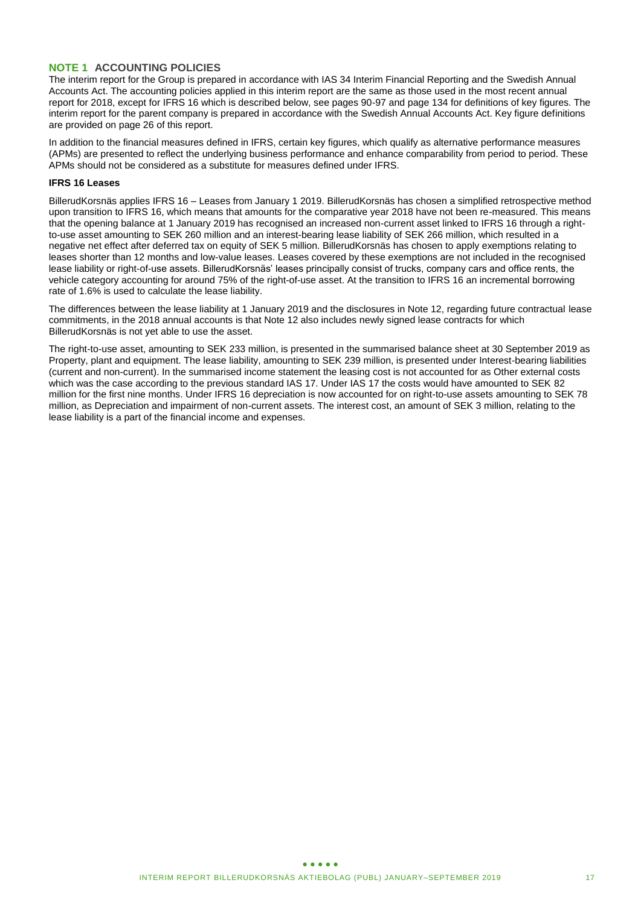## **NOTE 1 ACCOUNTING POLICIES**

The interim report for the Group is prepared in accordance with IAS 34 Interim Financial Reporting and the Swedish Annual Accounts Act. The accounting policies applied in this interim report are the same as those used in the most recent annual report for 2018, except for IFRS 16 which is described below, see pages 90-97 and page 134 for definitions of key figures. The interim report for the parent company is prepared in accordance with the Swedish Annual Accounts Act. Key figure definitions are provided on page 26 of this report.

In addition to the financial measures defined in IFRS, certain key figures, which qualify as alternative performance measures (APMs) are presented to reflect the underlying business performance and enhance comparability from period to period. These APMs should not be considered as a substitute for measures defined under IFRS.

### **IFRS 16 Leases**

BillerudKorsnäs applies IFRS 16 – Leases from January 1 2019. BillerudKorsnäs has chosen a simplified retrospective method upon transition to IFRS 16, which means that amounts for the comparative year 2018 have not been re-measured. This means that the opening balance at 1 January 2019 has recognised an increased non-current asset linked to IFRS 16 through a rightto-use asset amounting to SEK 260 million and an interest-bearing lease liability of SEK 266 million, which resulted in a negative net effect after deferred tax on equity of SEK 5 million. BillerudKorsnäs has chosen to apply exemptions relating to leases shorter than 12 months and low-value leases. Leases covered by these exemptions are not included in the recognised lease liability or right-of-use assets. BillerudKorsnäs' leases principally consist of trucks, company cars and office rents, the vehicle category accounting for around 75% of the right-of-use asset. At the transition to IFRS 16 an incremental borrowing rate of 1.6% is used to calculate the lease liability.

The differences between the lease liability at 1 January 2019 and the disclosures in Note 12, regarding future contractual lease commitments, in the 2018 annual accounts is that Note 12 also includes newly signed lease contracts for which BillerudKorsnäs is not yet able to use the asset.

The right-to-use asset, amounting to SEK 233 million, is presented in the summarised balance sheet at 30 September 2019 as Property, plant and equipment. The lease liability, amounting to SEK 239 million, is presented under Interest-bearing liabilities (current and non-current). In the summarised income statement the leasing cost is not accounted for as Other external costs which was the case according to the previous standard IAS 17. Under IAS 17 the costs would have amounted to SEK 82 million for the first nine months. Under IFRS 16 depreciation is now accounted for on right-to-use assets amounting to SEK 78 million, as Depreciation and impairment of non-current assets. The interest cost, an amount of SEK 3 million, relating to the lease liability is a part of the financial income and expenses.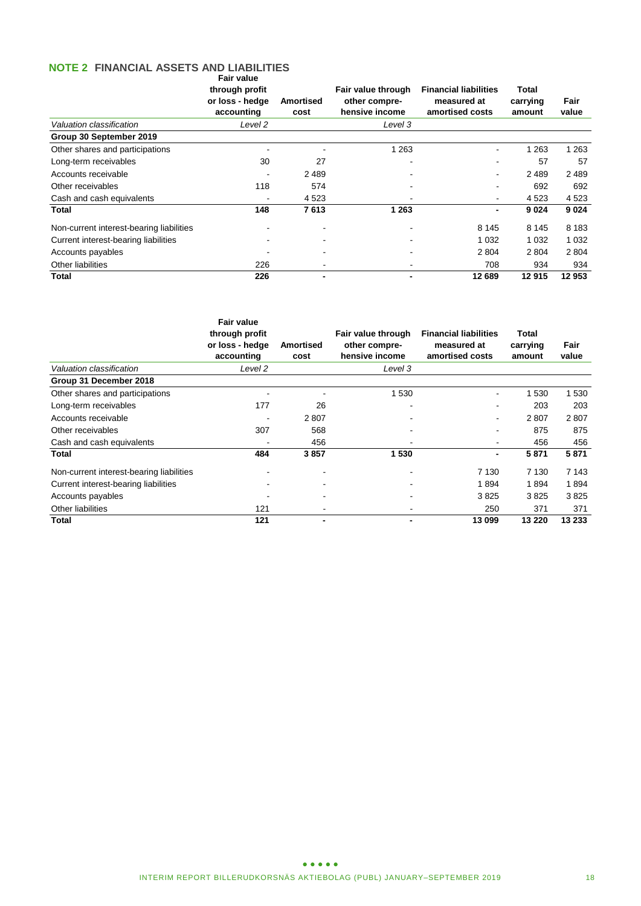### **NOTE 2 FINANCIAL ASSETS AND LIABILITIES**

|                                          | Fair value<br>through profit<br>or loss - hedge<br>accounting | <b>Amortised</b><br>cost | Fair value through<br>other compre-<br>hensive income | <b>Financial liabilities</b><br>measured at<br>amortised costs | Total<br>carrying<br>amount | Fair<br>value |
|------------------------------------------|---------------------------------------------------------------|--------------------------|-------------------------------------------------------|----------------------------------------------------------------|-----------------------------|---------------|
| Valuation classification                 | Level 2                                                       |                          | Level 3                                               |                                                                |                             |               |
| Group 30 September 2019                  |                                                               |                          |                                                       |                                                                |                             |               |
| Other shares and participations          |                                                               |                          | 1 2 6 3                                               |                                                                | 1 2 6 3                     | 1 263         |
| Long-term receivables                    | 30                                                            | 27                       |                                                       | ۰                                                              | 57                          | 57            |
| Accounts receivable                      |                                                               | 2 4 8 9                  |                                                       | ۰                                                              | 2 4 8 9                     | 2 4 8 9       |
| Other receivables                        | 118                                                           | 574                      |                                                       |                                                                | 692                         | 692           |
| Cash and cash equivalents                |                                                               | 4 5 23                   |                                                       |                                                                | 4 5 23                      | 4 5 23        |
| Total                                    | 148                                                           | 7613                     | 1 2 6 3                                               |                                                                | 9024                        | 9 0 24        |
| Non-current interest-bearing liabilities |                                                               |                          |                                                       | 8 1 4 5                                                        | 8 1 4 5                     | 8 1 8 3       |
| Current interest-bearing liabilities     |                                                               |                          |                                                       | 1 0 3 2                                                        | 1 0 3 2                     | 1 0 3 2       |
| Accounts payables                        |                                                               |                          |                                                       | 2 8 0 4                                                        | 2 8 0 4                     | 2 8 0 4       |
| Other liabilities                        | 226                                                           |                          |                                                       | 708                                                            | 934                         | 934           |
| Total                                    | 226                                                           |                          |                                                       | 12 689                                                         | 12915                       | 12 953        |

|                                          | <b>Fair value</b><br>through profit<br>or loss - hedge<br>accounting | <b>Amortised</b><br>cost | Fair value through<br>other compre-<br>hensive income | <b>Financial liabilities</b><br>measured at<br>amortised costs | Total<br>carrying<br>amount | Fair<br>value |
|------------------------------------------|----------------------------------------------------------------------|--------------------------|-------------------------------------------------------|----------------------------------------------------------------|-----------------------------|---------------|
| Valuation classification                 | Level 2                                                              |                          | Level 3                                               |                                                                |                             |               |
| Group 31 December 2018                   |                                                                      |                          |                                                       |                                                                |                             |               |
| Other shares and participations          |                                                                      |                          | 1 530                                                 |                                                                | 1 530                       | 1 5 3 0       |
| Long-term receivables                    | 177                                                                  | 26                       |                                                       |                                                                | 203                         | 203           |
| Accounts receivable                      |                                                                      | 2807                     |                                                       |                                                                | 2807                        | 2807          |
| Other receivables                        | 307                                                                  | 568                      |                                                       |                                                                | 875                         | 875           |
| Cash and cash equivalents                |                                                                      | 456                      |                                                       |                                                                | 456                         | 456           |
| Total                                    | 484                                                                  | 3857                     | 1530                                                  |                                                                | 5871                        | 5871          |
| Non-current interest-bearing liabilities |                                                                      |                          |                                                       | 7 1 3 0                                                        | 7 1 3 0                     | 7 1 4 3       |
| Current interest-bearing liabilities     |                                                                      |                          |                                                       | 1894                                                           | 1894                        | 1894          |
| Accounts payables                        |                                                                      |                          |                                                       | 3825                                                           | 3825                        | 3825          |
| Other liabilities                        | 121                                                                  |                          |                                                       | 250                                                            | 371                         | 371           |
| Total                                    | 121                                                                  |                          |                                                       | 13 099                                                         | 13 2 20                     | 13 233        |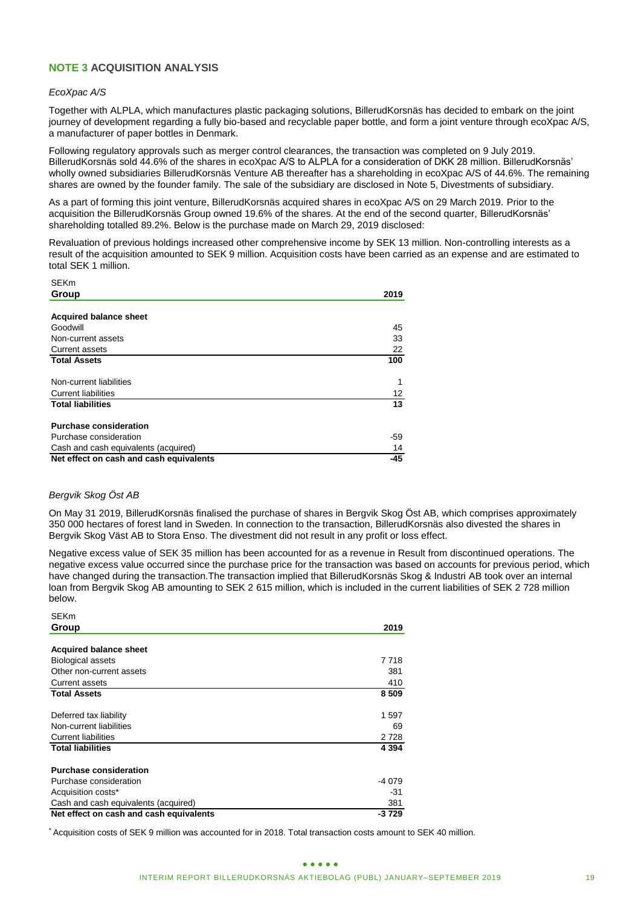# **NOTE 3 ACQUISITION ANALYSIS**

#### *EcoXpac A/S*

Together with ALPLA, which manufactures plastic packaging solutions, BillerudKorsnäs has decided to embark on the joint journey of development regarding a fully bio-based and recyclable paper bottle, and form a joint venture through ecoXpac A/S, a manufacturer of paper bottles in Denmark.

Following regulatory approvals such as merger control clearances, the transaction was completed on 9 July 2019. BillerudKorsnäs sold 44.6% of the shares in ecoXpac A/S to ALPLA for a consideration of DKK 28 million. BillerudKorsnäs' wholly owned subsidiaries BillerudKorsnäs Venture AB thereafter has a shareholding in ecoXpac A/S of 44.6%. The remaining shares are owned by the founder family. The sale of the subsidiary are disclosed in Note 5, Divestments of subsidiary.

As a part of forming this joint venture, BillerudKorsnäs acquired shares in ecoXpac A/S on 29 March 2019. Prior to the acquisition the BillerudKorsnäs Group owned 19.6% of the shares. At the end of the second quarter, BillerudKorsnäs' shareholding totalled 89.2%. Below is the purchase made on March 29, 2019 disclosed:

Revaluation of previous holdings increased other comprehensive income by SEK 13 million. Non-controlling interests as a result of the acquisition amounted to SEK 9 million. Acquisition costs have been carried as an expense and are estimated to total SEK 1 million.

| 5EKM                                    |                   |
|-----------------------------------------|-------------------|
| Group                                   | 2019              |
|                                         |                   |
| <b>Acquired balance sheet</b>           |                   |
| Goodwill                                | 45                |
| Non-current assets                      | 33                |
| <b>Current assets</b>                   | 22                |
| <b>Total Assets</b>                     | 100               |
| Non-current liabilities                 | 1                 |
| <b>Current liabilities</b>              | $12 \overline{ }$ |
| <b>Total liabilities</b>                | 13                |
| <b>Purchase consideration</b>           |                   |
| Purchase consideration                  | -59               |
| Cash and cash equivalents (acquired)    | 14                |
| Net effect on cash and cash equivalents | -45               |

### *Bergvik Skog Öst AB*

On May 31 2019, BillerudKorsnäs finalised the purchase of shares in Bergvik Skog Öst AB, which comprises approximately 350 000 hectares of forest land in Sweden. In connection to the transaction, BillerudKorsnäs also divested the shares in Bergvik Skog Väst AB to Stora Enso. The divestment did not result in any profit or loss effect.

Negative excess value of SEK 35 million has been accounted for as a revenue in Result from discontinued operations. The negative excess value occurred since the purchase price for the transaction was based on accounts for previous period, which have changed during the transaction.The transaction implied that BillerudKorsnäs Skog & Industri AB took over an internal loan from Bergvik Skog AB amounting to SEK 2 615 million, which is included in the current liabilities of SEK 2 728 million below.

| SEKm                                                                                                                                                                                                                                                                                                                          |             |
|-------------------------------------------------------------------------------------------------------------------------------------------------------------------------------------------------------------------------------------------------------------------------------------------------------------------------------|-------------|
| Group                                                                                                                                                                                                                                                                                                                         | 2019        |
|                                                                                                                                                                                                                                                                                                                               |             |
| <b>Acquired balance sheet</b>                                                                                                                                                                                                                                                                                                 |             |
| Goodwill                                                                                                                                                                                                                                                                                                                      | 45          |
| Non-current assets                                                                                                                                                                                                                                                                                                            | 33          |
| Current assets<br><b>Total Assets</b>                                                                                                                                                                                                                                                                                         | 22<br>100   |
|                                                                                                                                                                                                                                                                                                                               |             |
| Non-current liabilities                                                                                                                                                                                                                                                                                                       | 1           |
| <b>Current liabilities</b>                                                                                                                                                                                                                                                                                                    | 12          |
| <b>Total liabilities</b>                                                                                                                                                                                                                                                                                                      | 13          |
| <b>Purchase consideration</b>                                                                                                                                                                                                                                                                                                 |             |
| Purchase consideration                                                                                                                                                                                                                                                                                                        | -59         |
| Cash and cash equivalents (acquired)                                                                                                                                                                                                                                                                                          | 14          |
| Net effect on cash and cash equivalents                                                                                                                                                                                                                                                                                       | $-45$       |
|                                                                                                                                                                                                                                                                                                                               |             |
| Bergvik Skog Öst AB                                                                                                                                                                                                                                                                                                           |             |
| On May 31 2019, BillerudKorsnäs finalised the purchase of shares in Bergvik Skog Öst AB, which co<br>350 000 hectares of forest land in Sweden. In connection to the transaction, BillerudKorsnäs also div<br>Bergvik Skog Väst AB to Stora Enso. The divestment did not result in any profit or loss effect.                 |             |
| negative excess value occurred since the purchase price for the transaction was based on accounts<br>have changed during the transaction. The transaction implied that BillerudKorsnäs Skog & Industri Al<br>loan from Bergvik Skog AB amounting to SEK 2 615 million, which is included in the current liabilities<br>below. |             |
| <b>SEKm</b>                                                                                                                                                                                                                                                                                                                   |             |
| Group                                                                                                                                                                                                                                                                                                                         | 2019        |
|                                                                                                                                                                                                                                                                                                                               |             |
| <b>Acquired balance sheet</b>                                                                                                                                                                                                                                                                                                 |             |
| <b>Biological assets</b>                                                                                                                                                                                                                                                                                                      | 7718<br>381 |
| Other non-current assets                                                                                                                                                                                                                                                                                                      |             |
| Current assets<br><b>Total Assets</b>                                                                                                                                                                                                                                                                                         | 410<br>8509 |
|                                                                                                                                                                                                                                                                                                                               |             |
| Deferred tax liability                                                                                                                                                                                                                                                                                                        | 1597        |
| Non-current liabilities                                                                                                                                                                                                                                                                                                       | 69          |
| <b>Current liabilities</b>                                                                                                                                                                                                                                                                                                    | 2 728       |
| <b>Total liabilities</b>                                                                                                                                                                                                                                                                                                      | 4 3 9 4     |
| <b>Purchase consideration</b>                                                                                                                                                                                                                                                                                                 |             |
| Purchase consideration                                                                                                                                                                                                                                                                                                        | -4 079      |
| Acquisition costs*                                                                                                                                                                                                                                                                                                            | $-31$       |
| Cash and cash equivalents (acquired)                                                                                                                                                                                                                                                                                          | 381         |
| Net effect on cash and cash equivalents                                                                                                                                                                                                                                                                                       | $-3729$     |
| Acquisition costs of SEK 9 million was accounted for in 2018. Total transaction costs amount to SEK 40 million.                                                                                                                                                                                                               |             |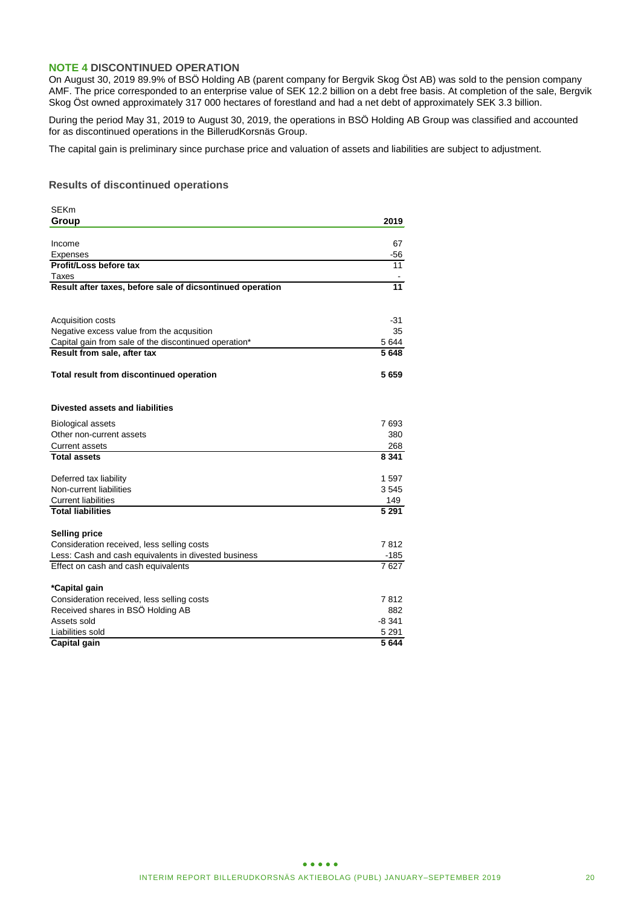### **NOTE 4 DISCONTINUED OPERATION**

On August 30, 2019 89.9% of BSÖ Holding AB (parent company for Bergvik Skog Öst AB) was sold to the pension company AMF. The price corresponded to an enterprise value of SEK 12.2 billion on a debt free basis. At completion of the sale, Bergvik Skog Öst owned approximately 317 000 hectares of forestland and had a net debt of approximately SEK 3.3 billion.

During the period May 31, 2019 to August 30, 2019, the operations in BSÖ Holding AB Group was classified and accounted for as discontinued operations in the BillerudKorsnäs Group.

The capital gain is preliminary since purchase price and valuation of assets and liabilities are subject to adjustment.

### **Results of discontinued operations**

|                                                           | 2019         |
|-----------------------------------------------------------|--------------|
| Group                                                     |              |
|                                                           |              |
| Income                                                    | 67           |
| Expenses                                                  | -56          |
| Profit/Loss before tax                                    | 11           |
| Taxes                                                     |              |
| Result after taxes, before sale of dicsontinued operation | 11           |
|                                                           |              |
| Acquisition costs                                         | -31          |
| Negative excess value from the acqusition                 | 35           |
| Capital gain from sale of the discontinued operation*     | 5 644        |
| Result from sale, after tax                               | 5648         |
|                                                           |              |
| Total result from discontinued operation                  | 5659         |
|                                                           |              |
|                                                           |              |
| Divested assets and liabilities                           |              |
| <b>Biological assets</b>                                  | 7693         |
| Other non-current assets                                  | 380          |
| <b>Current assets</b>                                     | 268          |
| <b>Total assets</b>                                       | 8 3 4 1      |
|                                                           |              |
| Deferred tax liability                                    | 1597         |
| Non-current liabilities                                   | 3545         |
| <b>Current liabilities</b>                                | 149          |
| <b>Total liabilities</b>                                  | 5 2 9 1      |
|                                                           |              |
| <b>Selling price</b>                                      | 7812         |
| Consideration received, less selling costs                |              |
| Less: Cash and cash equivalents in divested business      | -185<br>7627 |
| Effect on cash and cash equivalents                       |              |
| *Capital gain                                             |              |
| Consideration received, less selling costs                | 7812         |
| Received shares in BSO Holding AB                         | 882          |
| Assets sold                                               | $-8341$      |
| Liabilities sold                                          | 5 2 9 1      |
| Capital gain                                              | 5644         |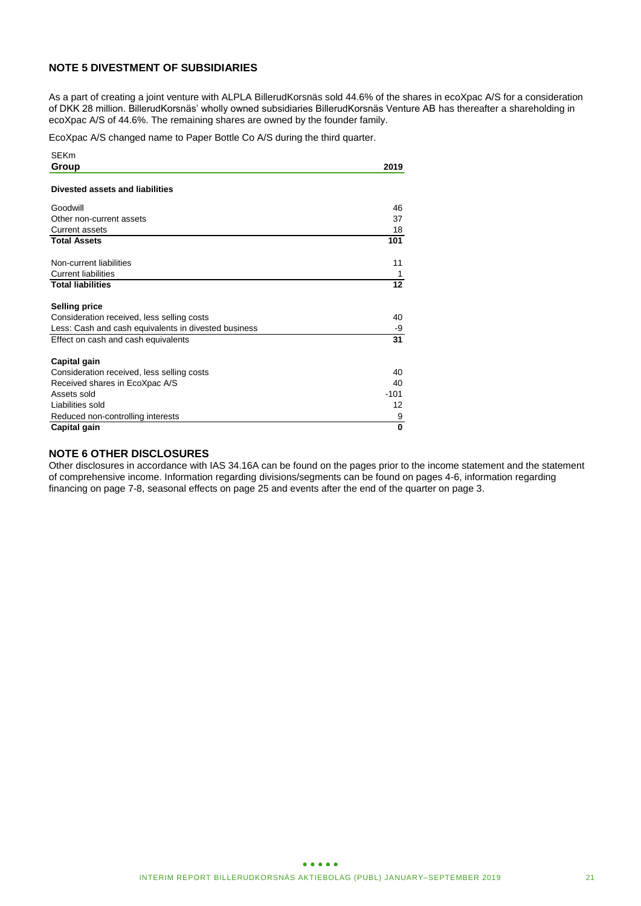# **NOTE 5 DIVESTMENT OF SUBSIDIARIES**

As a part of creating a joint venture with ALPLA BillerudKorsnäs sold 44.6% of the shares in ecoXpac A/S for a consideration of DKK 28 million. BillerudKorsnäs' wholly owned subsidiaries BillerudKorsnäs Venture AB has thereafter a shareholding in ecoXpac A/S of 44.6%. The remaining shares are owned by the founder family.

EcoXpac A/S changed name to Paper Bottle Co A/S during the third quarter.

| <b>SEKm</b>                                          |        |
|------------------------------------------------------|--------|
| Group                                                | 2019   |
|                                                      |        |
| Divested assets and liabilities                      |        |
| Goodwill                                             | 46     |
| Other non-current assets                             | 37     |
| <b>Current assets</b>                                | 18     |
| <b>Total Assets</b>                                  | 101    |
| Non-current liabilities                              | 11     |
| <b>Current liabilities</b>                           | 1      |
| <b>Total liabilities</b>                             | 12     |
|                                                      |        |
| <b>Selling price</b>                                 |        |
| Consideration received, less selling costs           | 40     |
| Less: Cash and cash equivalents in divested business | -9     |
| Effect on cash and cash equivalents                  | 31     |
| Capital gain                                         |        |
| Consideration received, less selling costs           | 40     |
| Received shares in EcoXpac A/S                       | 40     |
| Assets sold                                          | $-101$ |
| Liabilities sold                                     | 12     |
| Reduced non-controlling interests                    | 9      |
| Capital gain                                         | 0      |

### **NOTE 6 OTHER DISCLOSURES**

Other disclosures in accordance with IAS 34.16A can be found on the pages prior to the income statement and the statement of comprehensive income. Information regarding divisions/segments can be found on pages 4-6, information regarding financing on page 7-8, seasonal effects on page 25 and events after the end of the quarter on page 3.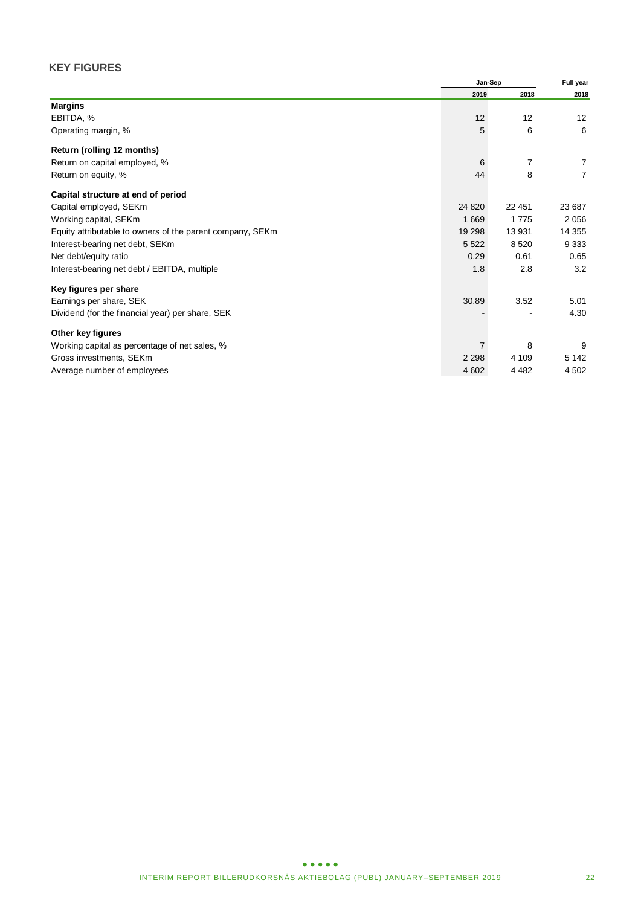# **KEY FIGURES**

|                                                           |         | Jan-Sep |                |
|-----------------------------------------------------------|---------|---------|----------------|
|                                                           | 2019    | 2018    | 2018           |
| <b>Margins</b>                                            |         |         |                |
| EBITDA, %                                                 | 12      | 12      | 12             |
| Operating margin, %                                       | 5       | 6       | 6              |
| Return (rolling 12 months)                                |         |         |                |
| Return on capital employed, %                             | 6       | 7       | 7              |
| Return on equity, %                                       | 44      | 8       | $\overline{7}$ |
| Capital structure at end of period                        |         |         |                |
| Capital employed, SEKm                                    | 24 8 20 | 22 451  | 23 687         |
| Working capital, SEKm                                     | 1669    | 1 7 7 5 | 2056           |
| Equity attributable to owners of the parent company, SEKm | 19 298  | 13 931  | 14 3 55        |
| Interest-bearing net debt, SEKm                           | 5 5 2 2 | 8520    | 9 3 3 3        |
| Net debt/equity ratio                                     | 0.29    | 0.61    | 0.65           |
| Interest-bearing net debt / EBITDA, multiple              | 1.8     | 2.8     | 3.2            |
| Key figures per share                                     |         |         |                |
| Earnings per share, SEK                                   | 30.89   | 3.52    | 5.01           |
| Dividend (for the financial year) per share, SEK          |         |         | 4.30           |
| Other key figures                                         |         |         |                |
| Working capital as percentage of net sales, %             |         | 8       | 9              |
| Gross investments, SEKm                                   | 2 2 9 8 | 4 109   | 5 1 4 2        |
| Average number of employees                               | 4 602   | 4 4 8 2 | 4 5 0 2        |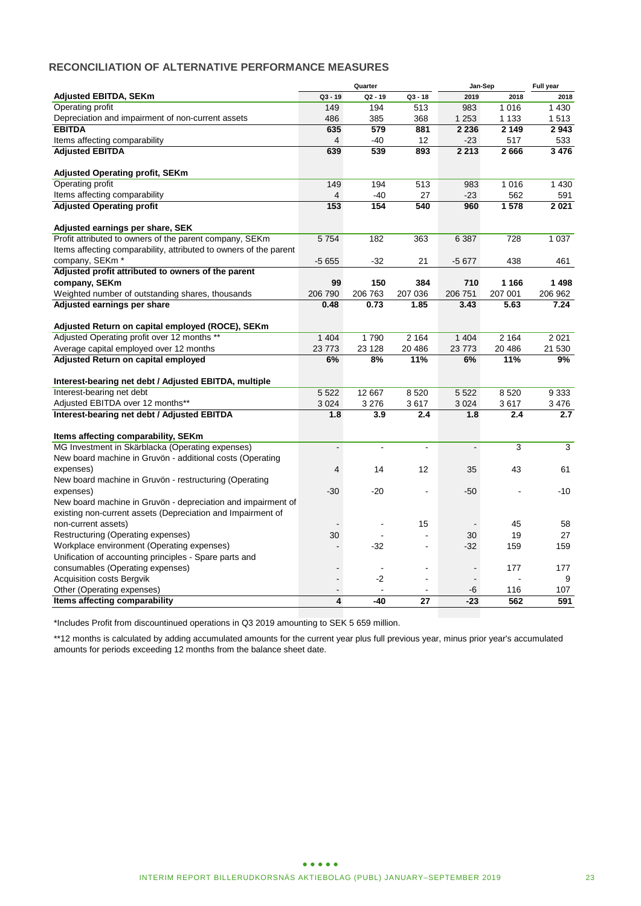# **RECONCILIATION OF ALTERNATIVE PERFORMANCE MEASURES**

| <b>Adjusted EBITDA, SEKm</b><br>$Q2 - 19$<br>$Q3 - 18$<br>$Q3 - 19$<br>2019<br>2018<br>2018<br><b>Operating profit</b><br>149<br>194<br>513<br>983<br>1016<br>1 4 3 0<br>Depreciation and impairment of non-current assets<br>486<br>368<br>1 2 5 3<br>385<br>1 1 3 3<br>1513<br>635<br>579<br>2 2 3 6<br>2 1 4 9<br>2943<br><b>EBITDA</b><br>881<br>Items affecting comparability<br>12<br>$-23$<br>517<br>$\overline{4}$<br>$-40$<br>533<br><b>Adjusted EBITDA</b><br>639<br>539<br>893<br>2 2 1 3<br>2666<br>3 4 7 6<br><b>Adjusted Operating profit, SEKm</b><br>Operating profit<br>149<br>194<br>513<br>1 0 1 6<br>1 4 3 0<br>983<br>Items affecting comparability<br>$-40$<br>$-23$<br>562<br>4<br>27<br>591<br><b>Adjusted Operating profit</b><br>153<br>154<br>540<br>960<br>1578<br>2021<br>Adjusted earnings per share, SEK<br>Profit attributed to owners of the parent company, SEKm<br>5754<br>182<br>728<br>363<br>6 3 8 7<br>1 0 3 7<br>Items affecting comparability, attributed to owners of the parent<br>company, SEKm <sup>*</sup><br>$-5655$<br>$-32$<br>21<br>$-5677$<br>438<br>461<br>Adjusted profit attributed to owners of the parent<br>company, SEKm<br>99<br>150<br>384<br>710<br>1 1 6 6<br>1498<br>206 790<br>206 763<br>207 036<br>206 751<br>207 001<br>Weighted number of outstanding shares, thousands<br>206 962<br>Adjusted earnings per share<br>0.48<br>0.73<br>1.85<br>3.43<br>7.24<br>5.63<br>Adjusted Return on capital employed (ROCE), SEKm<br>Adjusted Operating profit over 12 months **<br>1 4 0 4<br>1790<br>2 1 6 4<br>2 1 6 4<br>1 4 0 4<br>2021<br>Average capital employed over 12 months<br>23 773<br>23 1 28<br>23 7 73<br>20 48 6<br>20 486<br>21 530<br>Adjusted Return on capital employed<br>6%<br>8%<br>11%<br>6%<br>11%<br>9%<br>Interest-bearing net debt / Adjusted EBITDA, multiple<br>Interest-bearing net debt<br>5 5 2 2<br>12 667<br>8520<br>5 5 2 2<br>8520<br>9 3 3 3<br>Adjusted EBITDA over 12 months**<br>3 0 2 4<br>3 2 7 6<br>3617<br>3 0 24<br>3617<br>3476<br>Interest-bearing net debt / Adjusted EBITDA<br>1.8<br>3.9<br>2.4<br>1.8<br>2.4<br>2.7<br>Items affecting comparability, SEKm<br>MG Investment in Skärblacka (Operating expenses)<br>3<br>3<br>$\tilde{\phantom{a}}$<br>$\overline{a}$<br>$\overline{\phantom{a}}$<br>$\blacksquare$<br>New board machine in Gruvön - additional costs (Operating<br>12<br>43<br>expenses)<br>$\overline{4}$<br>14<br>35<br>61<br>New board machine in Gruvön - restructuring (Operating<br>$-30$<br>$-20$<br>$-50$<br>$-10$<br>expenses)<br>New board machine in Gruvön - depreciation and impairment of<br>existing non-current assets (Depreciation and Impairment of<br>non-current assets)<br>15<br>45<br>58<br>$\blacksquare$<br>19<br>27<br>Restructuring (Operating expenses)<br>30<br>30<br>Workplace environment (Operating expenses)<br>$-32$<br>$-32$<br>159<br>159<br>L.<br>Unification of accounting principles - Spare parts and<br>consumables (Operating expenses)<br>177<br>177<br>$\blacksquare$<br>$\sim$<br>$\blacksquare$<br>Acquisition costs Bergvik<br>$-2$<br>9<br>$\blacksquare$<br>L.<br>$\blacksquare$<br>Other (Operating expenses)<br>-6<br>116<br>107<br>$\blacksquare$<br>$\sim$<br>$\overline{4}$<br>Items affecting comparability<br>$-40$<br>27<br>$-23$<br>562<br>591 |  | Quarter | Jan-Sep | Full year |
|---------------------------------------------------------------------------------------------------------------------------------------------------------------------------------------------------------------------------------------------------------------------------------------------------------------------------------------------------------------------------------------------------------------------------------------------------------------------------------------------------------------------------------------------------------------------------------------------------------------------------------------------------------------------------------------------------------------------------------------------------------------------------------------------------------------------------------------------------------------------------------------------------------------------------------------------------------------------------------------------------------------------------------------------------------------------------------------------------------------------------------------------------------------------------------------------------------------------------------------------------------------------------------------------------------------------------------------------------------------------------------------------------------------------------------------------------------------------------------------------------------------------------------------------------------------------------------------------------------------------------------------------------------------------------------------------------------------------------------------------------------------------------------------------------------------------------------------------------------------------------------------------------------------------------------------------------------------------------------------------------------------------------------------------------------------------------------------------------------------------------------------------------------------------------------------------------------------------------------------------------------------------------------------------------------------------------------------------------------------------------------------------------------------------------------------------------------------------------------------------------------------------------------------------------------------------------------------------------------------------------------------------------------------------------------------------------------------------------------------------------------------------------------------------------------------------------------------------------------------------------------------------------------------------------------------------------------------------------------------------------------------------------------------------------------------------------------------------------------------------------------------------------------------------------------------------------------------------------------------------------------------------------------------------------------------------------------------|--|---------|---------|-----------|
|                                                                                                                                                                                                                                                                                                                                                                                                                                                                                                                                                                                                                                                                                                                                                                                                                                                                                                                                                                                                                                                                                                                                                                                                                                                                                                                                                                                                                                                                                                                                                                                                                                                                                                                                                                                                                                                                                                                                                                                                                                                                                                                                                                                                                                                                                                                                                                                                                                                                                                                                                                                                                                                                                                                                                                                                                                                                                                                                                                                                                                                                                                                                                                                                                                                                                                                                       |  |         |         |           |
|                                                                                                                                                                                                                                                                                                                                                                                                                                                                                                                                                                                                                                                                                                                                                                                                                                                                                                                                                                                                                                                                                                                                                                                                                                                                                                                                                                                                                                                                                                                                                                                                                                                                                                                                                                                                                                                                                                                                                                                                                                                                                                                                                                                                                                                                                                                                                                                                                                                                                                                                                                                                                                                                                                                                                                                                                                                                                                                                                                                                                                                                                                                                                                                                                                                                                                                                       |  |         |         |           |
|                                                                                                                                                                                                                                                                                                                                                                                                                                                                                                                                                                                                                                                                                                                                                                                                                                                                                                                                                                                                                                                                                                                                                                                                                                                                                                                                                                                                                                                                                                                                                                                                                                                                                                                                                                                                                                                                                                                                                                                                                                                                                                                                                                                                                                                                                                                                                                                                                                                                                                                                                                                                                                                                                                                                                                                                                                                                                                                                                                                                                                                                                                                                                                                                                                                                                                                                       |  |         |         |           |
|                                                                                                                                                                                                                                                                                                                                                                                                                                                                                                                                                                                                                                                                                                                                                                                                                                                                                                                                                                                                                                                                                                                                                                                                                                                                                                                                                                                                                                                                                                                                                                                                                                                                                                                                                                                                                                                                                                                                                                                                                                                                                                                                                                                                                                                                                                                                                                                                                                                                                                                                                                                                                                                                                                                                                                                                                                                                                                                                                                                                                                                                                                                                                                                                                                                                                                                                       |  |         |         |           |
|                                                                                                                                                                                                                                                                                                                                                                                                                                                                                                                                                                                                                                                                                                                                                                                                                                                                                                                                                                                                                                                                                                                                                                                                                                                                                                                                                                                                                                                                                                                                                                                                                                                                                                                                                                                                                                                                                                                                                                                                                                                                                                                                                                                                                                                                                                                                                                                                                                                                                                                                                                                                                                                                                                                                                                                                                                                                                                                                                                                                                                                                                                                                                                                                                                                                                                                                       |  |         |         |           |
|                                                                                                                                                                                                                                                                                                                                                                                                                                                                                                                                                                                                                                                                                                                                                                                                                                                                                                                                                                                                                                                                                                                                                                                                                                                                                                                                                                                                                                                                                                                                                                                                                                                                                                                                                                                                                                                                                                                                                                                                                                                                                                                                                                                                                                                                                                                                                                                                                                                                                                                                                                                                                                                                                                                                                                                                                                                                                                                                                                                                                                                                                                                                                                                                                                                                                                                                       |  |         |         |           |
|                                                                                                                                                                                                                                                                                                                                                                                                                                                                                                                                                                                                                                                                                                                                                                                                                                                                                                                                                                                                                                                                                                                                                                                                                                                                                                                                                                                                                                                                                                                                                                                                                                                                                                                                                                                                                                                                                                                                                                                                                                                                                                                                                                                                                                                                                                                                                                                                                                                                                                                                                                                                                                                                                                                                                                                                                                                                                                                                                                                                                                                                                                                                                                                                                                                                                                                                       |  |         |         |           |
|                                                                                                                                                                                                                                                                                                                                                                                                                                                                                                                                                                                                                                                                                                                                                                                                                                                                                                                                                                                                                                                                                                                                                                                                                                                                                                                                                                                                                                                                                                                                                                                                                                                                                                                                                                                                                                                                                                                                                                                                                                                                                                                                                                                                                                                                                                                                                                                                                                                                                                                                                                                                                                                                                                                                                                                                                                                                                                                                                                                                                                                                                                                                                                                                                                                                                                                                       |  |         |         |           |
|                                                                                                                                                                                                                                                                                                                                                                                                                                                                                                                                                                                                                                                                                                                                                                                                                                                                                                                                                                                                                                                                                                                                                                                                                                                                                                                                                                                                                                                                                                                                                                                                                                                                                                                                                                                                                                                                                                                                                                                                                                                                                                                                                                                                                                                                                                                                                                                                                                                                                                                                                                                                                                                                                                                                                                                                                                                                                                                                                                                                                                                                                                                                                                                                                                                                                                                                       |  |         |         |           |
|                                                                                                                                                                                                                                                                                                                                                                                                                                                                                                                                                                                                                                                                                                                                                                                                                                                                                                                                                                                                                                                                                                                                                                                                                                                                                                                                                                                                                                                                                                                                                                                                                                                                                                                                                                                                                                                                                                                                                                                                                                                                                                                                                                                                                                                                                                                                                                                                                                                                                                                                                                                                                                                                                                                                                                                                                                                                                                                                                                                                                                                                                                                                                                                                                                                                                                                                       |  |         |         |           |
|                                                                                                                                                                                                                                                                                                                                                                                                                                                                                                                                                                                                                                                                                                                                                                                                                                                                                                                                                                                                                                                                                                                                                                                                                                                                                                                                                                                                                                                                                                                                                                                                                                                                                                                                                                                                                                                                                                                                                                                                                                                                                                                                                                                                                                                                                                                                                                                                                                                                                                                                                                                                                                                                                                                                                                                                                                                                                                                                                                                                                                                                                                                                                                                                                                                                                                                                       |  |         |         |           |
|                                                                                                                                                                                                                                                                                                                                                                                                                                                                                                                                                                                                                                                                                                                                                                                                                                                                                                                                                                                                                                                                                                                                                                                                                                                                                                                                                                                                                                                                                                                                                                                                                                                                                                                                                                                                                                                                                                                                                                                                                                                                                                                                                                                                                                                                                                                                                                                                                                                                                                                                                                                                                                                                                                                                                                                                                                                                                                                                                                                                                                                                                                                                                                                                                                                                                                                                       |  |         |         |           |
|                                                                                                                                                                                                                                                                                                                                                                                                                                                                                                                                                                                                                                                                                                                                                                                                                                                                                                                                                                                                                                                                                                                                                                                                                                                                                                                                                                                                                                                                                                                                                                                                                                                                                                                                                                                                                                                                                                                                                                                                                                                                                                                                                                                                                                                                                                                                                                                                                                                                                                                                                                                                                                                                                                                                                                                                                                                                                                                                                                                                                                                                                                                                                                                                                                                                                                                                       |  |         |         |           |
|                                                                                                                                                                                                                                                                                                                                                                                                                                                                                                                                                                                                                                                                                                                                                                                                                                                                                                                                                                                                                                                                                                                                                                                                                                                                                                                                                                                                                                                                                                                                                                                                                                                                                                                                                                                                                                                                                                                                                                                                                                                                                                                                                                                                                                                                                                                                                                                                                                                                                                                                                                                                                                                                                                                                                                                                                                                                                                                                                                                                                                                                                                                                                                                                                                                                                                                                       |  |         |         |           |
|                                                                                                                                                                                                                                                                                                                                                                                                                                                                                                                                                                                                                                                                                                                                                                                                                                                                                                                                                                                                                                                                                                                                                                                                                                                                                                                                                                                                                                                                                                                                                                                                                                                                                                                                                                                                                                                                                                                                                                                                                                                                                                                                                                                                                                                                                                                                                                                                                                                                                                                                                                                                                                                                                                                                                                                                                                                                                                                                                                                                                                                                                                                                                                                                                                                                                                                                       |  |         |         |           |
|                                                                                                                                                                                                                                                                                                                                                                                                                                                                                                                                                                                                                                                                                                                                                                                                                                                                                                                                                                                                                                                                                                                                                                                                                                                                                                                                                                                                                                                                                                                                                                                                                                                                                                                                                                                                                                                                                                                                                                                                                                                                                                                                                                                                                                                                                                                                                                                                                                                                                                                                                                                                                                                                                                                                                                                                                                                                                                                                                                                                                                                                                                                                                                                                                                                                                                                                       |  |         |         |           |
|                                                                                                                                                                                                                                                                                                                                                                                                                                                                                                                                                                                                                                                                                                                                                                                                                                                                                                                                                                                                                                                                                                                                                                                                                                                                                                                                                                                                                                                                                                                                                                                                                                                                                                                                                                                                                                                                                                                                                                                                                                                                                                                                                                                                                                                                                                                                                                                                                                                                                                                                                                                                                                                                                                                                                                                                                                                                                                                                                                                                                                                                                                                                                                                                                                                                                                                                       |  |         |         |           |
|                                                                                                                                                                                                                                                                                                                                                                                                                                                                                                                                                                                                                                                                                                                                                                                                                                                                                                                                                                                                                                                                                                                                                                                                                                                                                                                                                                                                                                                                                                                                                                                                                                                                                                                                                                                                                                                                                                                                                                                                                                                                                                                                                                                                                                                                                                                                                                                                                                                                                                                                                                                                                                                                                                                                                                                                                                                                                                                                                                                                                                                                                                                                                                                                                                                                                                                                       |  |         |         |           |
|                                                                                                                                                                                                                                                                                                                                                                                                                                                                                                                                                                                                                                                                                                                                                                                                                                                                                                                                                                                                                                                                                                                                                                                                                                                                                                                                                                                                                                                                                                                                                                                                                                                                                                                                                                                                                                                                                                                                                                                                                                                                                                                                                                                                                                                                                                                                                                                                                                                                                                                                                                                                                                                                                                                                                                                                                                                                                                                                                                                                                                                                                                                                                                                                                                                                                                                                       |  |         |         |           |
|                                                                                                                                                                                                                                                                                                                                                                                                                                                                                                                                                                                                                                                                                                                                                                                                                                                                                                                                                                                                                                                                                                                                                                                                                                                                                                                                                                                                                                                                                                                                                                                                                                                                                                                                                                                                                                                                                                                                                                                                                                                                                                                                                                                                                                                                                                                                                                                                                                                                                                                                                                                                                                                                                                                                                                                                                                                                                                                                                                                                                                                                                                                                                                                                                                                                                                                                       |  |         |         |           |
|                                                                                                                                                                                                                                                                                                                                                                                                                                                                                                                                                                                                                                                                                                                                                                                                                                                                                                                                                                                                                                                                                                                                                                                                                                                                                                                                                                                                                                                                                                                                                                                                                                                                                                                                                                                                                                                                                                                                                                                                                                                                                                                                                                                                                                                                                                                                                                                                                                                                                                                                                                                                                                                                                                                                                                                                                                                                                                                                                                                                                                                                                                                                                                                                                                                                                                                                       |  |         |         |           |
|                                                                                                                                                                                                                                                                                                                                                                                                                                                                                                                                                                                                                                                                                                                                                                                                                                                                                                                                                                                                                                                                                                                                                                                                                                                                                                                                                                                                                                                                                                                                                                                                                                                                                                                                                                                                                                                                                                                                                                                                                                                                                                                                                                                                                                                                                                                                                                                                                                                                                                                                                                                                                                                                                                                                                                                                                                                                                                                                                                                                                                                                                                                                                                                                                                                                                                                                       |  |         |         |           |
|                                                                                                                                                                                                                                                                                                                                                                                                                                                                                                                                                                                                                                                                                                                                                                                                                                                                                                                                                                                                                                                                                                                                                                                                                                                                                                                                                                                                                                                                                                                                                                                                                                                                                                                                                                                                                                                                                                                                                                                                                                                                                                                                                                                                                                                                                                                                                                                                                                                                                                                                                                                                                                                                                                                                                                                                                                                                                                                                                                                                                                                                                                                                                                                                                                                                                                                                       |  |         |         |           |
|                                                                                                                                                                                                                                                                                                                                                                                                                                                                                                                                                                                                                                                                                                                                                                                                                                                                                                                                                                                                                                                                                                                                                                                                                                                                                                                                                                                                                                                                                                                                                                                                                                                                                                                                                                                                                                                                                                                                                                                                                                                                                                                                                                                                                                                                                                                                                                                                                                                                                                                                                                                                                                                                                                                                                                                                                                                                                                                                                                                                                                                                                                                                                                                                                                                                                                                                       |  |         |         |           |
|                                                                                                                                                                                                                                                                                                                                                                                                                                                                                                                                                                                                                                                                                                                                                                                                                                                                                                                                                                                                                                                                                                                                                                                                                                                                                                                                                                                                                                                                                                                                                                                                                                                                                                                                                                                                                                                                                                                                                                                                                                                                                                                                                                                                                                                                                                                                                                                                                                                                                                                                                                                                                                                                                                                                                                                                                                                                                                                                                                                                                                                                                                                                                                                                                                                                                                                                       |  |         |         |           |
|                                                                                                                                                                                                                                                                                                                                                                                                                                                                                                                                                                                                                                                                                                                                                                                                                                                                                                                                                                                                                                                                                                                                                                                                                                                                                                                                                                                                                                                                                                                                                                                                                                                                                                                                                                                                                                                                                                                                                                                                                                                                                                                                                                                                                                                                                                                                                                                                                                                                                                                                                                                                                                                                                                                                                                                                                                                                                                                                                                                                                                                                                                                                                                                                                                                                                                                                       |  |         |         |           |
|                                                                                                                                                                                                                                                                                                                                                                                                                                                                                                                                                                                                                                                                                                                                                                                                                                                                                                                                                                                                                                                                                                                                                                                                                                                                                                                                                                                                                                                                                                                                                                                                                                                                                                                                                                                                                                                                                                                                                                                                                                                                                                                                                                                                                                                                                                                                                                                                                                                                                                                                                                                                                                                                                                                                                                                                                                                                                                                                                                                                                                                                                                                                                                                                                                                                                                                                       |  |         |         |           |
|                                                                                                                                                                                                                                                                                                                                                                                                                                                                                                                                                                                                                                                                                                                                                                                                                                                                                                                                                                                                                                                                                                                                                                                                                                                                                                                                                                                                                                                                                                                                                                                                                                                                                                                                                                                                                                                                                                                                                                                                                                                                                                                                                                                                                                                                                                                                                                                                                                                                                                                                                                                                                                                                                                                                                                                                                                                                                                                                                                                                                                                                                                                                                                                                                                                                                                                                       |  |         |         |           |
|                                                                                                                                                                                                                                                                                                                                                                                                                                                                                                                                                                                                                                                                                                                                                                                                                                                                                                                                                                                                                                                                                                                                                                                                                                                                                                                                                                                                                                                                                                                                                                                                                                                                                                                                                                                                                                                                                                                                                                                                                                                                                                                                                                                                                                                                                                                                                                                                                                                                                                                                                                                                                                                                                                                                                                                                                                                                                                                                                                                                                                                                                                                                                                                                                                                                                                                                       |  |         |         |           |
|                                                                                                                                                                                                                                                                                                                                                                                                                                                                                                                                                                                                                                                                                                                                                                                                                                                                                                                                                                                                                                                                                                                                                                                                                                                                                                                                                                                                                                                                                                                                                                                                                                                                                                                                                                                                                                                                                                                                                                                                                                                                                                                                                                                                                                                                                                                                                                                                                                                                                                                                                                                                                                                                                                                                                                                                                                                                                                                                                                                                                                                                                                                                                                                                                                                                                                                                       |  |         |         |           |
|                                                                                                                                                                                                                                                                                                                                                                                                                                                                                                                                                                                                                                                                                                                                                                                                                                                                                                                                                                                                                                                                                                                                                                                                                                                                                                                                                                                                                                                                                                                                                                                                                                                                                                                                                                                                                                                                                                                                                                                                                                                                                                                                                                                                                                                                                                                                                                                                                                                                                                                                                                                                                                                                                                                                                                                                                                                                                                                                                                                                                                                                                                                                                                                                                                                                                                                                       |  |         |         |           |
|                                                                                                                                                                                                                                                                                                                                                                                                                                                                                                                                                                                                                                                                                                                                                                                                                                                                                                                                                                                                                                                                                                                                                                                                                                                                                                                                                                                                                                                                                                                                                                                                                                                                                                                                                                                                                                                                                                                                                                                                                                                                                                                                                                                                                                                                                                                                                                                                                                                                                                                                                                                                                                                                                                                                                                                                                                                                                                                                                                                                                                                                                                                                                                                                                                                                                                                                       |  |         |         |           |
|                                                                                                                                                                                                                                                                                                                                                                                                                                                                                                                                                                                                                                                                                                                                                                                                                                                                                                                                                                                                                                                                                                                                                                                                                                                                                                                                                                                                                                                                                                                                                                                                                                                                                                                                                                                                                                                                                                                                                                                                                                                                                                                                                                                                                                                                                                                                                                                                                                                                                                                                                                                                                                                                                                                                                                                                                                                                                                                                                                                                                                                                                                                                                                                                                                                                                                                                       |  |         |         |           |
|                                                                                                                                                                                                                                                                                                                                                                                                                                                                                                                                                                                                                                                                                                                                                                                                                                                                                                                                                                                                                                                                                                                                                                                                                                                                                                                                                                                                                                                                                                                                                                                                                                                                                                                                                                                                                                                                                                                                                                                                                                                                                                                                                                                                                                                                                                                                                                                                                                                                                                                                                                                                                                                                                                                                                                                                                                                                                                                                                                                                                                                                                                                                                                                                                                                                                                                                       |  |         |         |           |
|                                                                                                                                                                                                                                                                                                                                                                                                                                                                                                                                                                                                                                                                                                                                                                                                                                                                                                                                                                                                                                                                                                                                                                                                                                                                                                                                                                                                                                                                                                                                                                                                                                                                                                                                                                                                                                                                                                                                                                                                                                                                                                                                                                                                                                                                                                                                                                                                                                                                                                                                                                                                                                                                                                                                                                                                                                                                                                                                                                                                                                                                                                                                                                                                                                                                                                                                       |  |         |         |           |
|                                                                                                                                                                                                                                                                                                                                                                                                                                                                                                                                                                                                                                                                                                                                                                                                                                                                                                                                                                                                                                                                                                                                                                                                                                                                                                                                                                                                                                                                                                                                                                                                                                                                                                                                                                                                                                                                                                                                                                                                                                                                                                                                                                                                                                                                                                                                                                                                                                                                                                                                                                                                                                                                                                                                                                                                                                                                                                                                                                                                                                                                                                                                                                                                                                                                                                                                       |  |         |         |           |
|                                                                                                                                                                                                                                                                                                                                                                                                                                                                                                                                                                                                                                                                                                                                                                                                                                                                                                                                                                                                                                                                                                                                                                                                                                                                                                                                                                                                                                                                                                                                                                                                                                                                                                                                                                                                                                                                                                                                                                                                                                                                                                                                                                                                                                                                                                                                                                                                                                                                                                                                                                                                                                                                                                                                                                                                                                                                                                                                                                                                                                                                                                                                                                                                                                                                                                                                       |  |         |         |           |
|                                                                                                                                                                                                                                                                                                                                                                                                                                                                                                                                                                                                                                                                                                                                                                                                                                                                                                                                                                                                                                                                                                                                                                                                                                                                                                                                                                                                                                                                                                                                                                                                                                                                                                                                                                                                                                                                                                                                                                                                                                                                                                                                                                                                                                                                                                                                                                                                                                                                                                                                                                                                                                                                                                                                                                                                                                                                                                                                                                                                                                                                                                                                                                                                                                                                                                                                       |  |         |         |           |
|                                                                                                                                                                                                                                                                                                                                                                                                                                                                                                                                                                                                                                                                                                                                                                                                                                                                                                                                                                                                                                                                                                                                                                                                                                                                                                                                                                                                                                                                                                                                                                                                                                                                                                                                                                                                                                                                                                                                                                                                                                                                                                                                                                                                                                                                                                                                                                                                                                                                                                                                                                                                                                                                                                                                                                                                                                                                                                                                                                                                                                                                                                                                                                                                                                                                                                                                       |  |         |         |           |
|                                                                                                                                                                                                                                                                                                                                                                                                                                                                                                                                                                                                                                                                                                                                                                                                                                                                                                                                                                                                                                                                                                                                                                                                                                                                                                                                                                                                                                                                                                                                                                                                                                                                                                                                                                                                                                                                                                                                                                                                                                                                                                                                                                                                                                                                                                                                                                                                                                                                                                                                                                                                                                                                                                                                                                                                                                                                                                                                                                                                                                                                                                                                                                                                                                                                                                                                       |  |         |         |           |
|                                                                                                                                                                                                                                                                                                                                                                                                                                                                                                                                                                                                                                                                                                                                                                                                                                                                                                                                                                                                                                                                                                                                                                                                                                                                                                                                                                                                                                                                                                                                                                                                                                                                                                                                                                                                                                                                                                                                                                                                                                                                                                                                                                                                                                                                                                                                                                                                                                                                                                                                                                                                                                                                                                                                                                                                                                                                                                                                                                                                                                                                                                                                                                                                                                                                                                                                       |  |         |         |           |
|                                                                                                                                                                                                                                                                                                                                                                                                                                                                                                                                                                                                                                                                                                                                                                                                                                                                                                                                                                                                                                                                                                                                                                                                                                                                                                                                                                                                                                                                                                                                                                                                                                                                                                                                                                                                                                                                                                                                                                                                                                                                                                                                                                                                                                                                                                                                                                                                                                                                                                                                                                                                                                                                                                                                                                                                                                                                                                                                                                                                                                                                                                                                                                                                                                                                                                                                       |  |         |         |           |
|                                                                                                                                                                                                                                                                                                                                                                                                                                                                                                                                                                                                                                                                                                                                                                                                                                                                                                                                                                                                                                                                                                                                                                                                                                                                                                                                                                                                                                                                                                                                                                                                                                                                                                                                                                                                                                                                                                                                                                                                                                                                                                                                                                                                                                                                                                                                                                                                                                                                                                                                                                                                                                                                                                                                                                                                                                                                                                                                                                                                                                                                                                                                                                                                                                                                                                                                       |  |         |         |           |
|                                                                                                                                                                                                                                                                                                                                                                                                                                                                                                                                                                                                                                                                                                                                                                                                                                                                                                                                                                                                                                                                                                                                                                                                                                                                                                                                                                                                                                                                                                                                                                                                                                                                                                                                                                                                                                                                                                                                                                                                                                                                                                                                                                                                                                                                                                                                                                                                                                                                                                                                                                                                                                                                                                                                                                                                                                                                                                                                                                                                                                                                                                                                                                                                                                                                                                                                       |  |         |         |           |
|                                                                                                                                                                                                                                                                                                                                                                                                                                                                                                                                                                                                                                                                                                                                                                                                                                                                                                                                                                                                                                                                                                                                                                                                                                                                                                                                                                                                                                                                                                                                                                                                                                                                                                                                                                                                                                                                                                                                                                                                                                                                                                                                                                                                                                                                                                                                                                                                                                                                                                                                                                                                                                                                                                                                                                                                                                                                                                                                                                                                                                                                                                                                                                                                                                                                                                                                       |  |         |         |           |
|                                                                                                                                                                                                                                                                                                                                                                                                                                                                                                                                                                                                                                                                                                                                                                                                                                                                                                                                                                                                                                                                                                                                                                                                                                                                                                                                                                                                                                                                                                                                                                                                                                                                                                                                                                                                                                                                                                                                                                                                                                                                                                                                                                                                                                                                                                                                                                                                                                                                                                                                                                                                                                                                                                                                                                                                                                                                                                                                                                                                                                                                                                                                                                                                                                                                                                                                       |  |         |         |           |
|                                                                                                                                                                                                                                                                                                                                                                                                                                                                                                                                                                                                                                                                                                                                                                                                                                                                                                                                                                                                                                                                                                                                                                                                                                                                                                                                                                                                                                                                                                                                                                                                                                                                                                                                                                                                                                                                                                                                                                                                                                                                                                                                                                                                                                                                                                                                                                                                                                                                                                                                                                                                                                                                                                                                                                                                                                                                                                                                                                                                                                                                                                                                                                                                                                                                                                                                       |  |         |         |           |

\*Includes Profit from discountinued operations in Q3 2019 amounting to SEK 5 659 million.

\*\*12 months is calculated by adding accumulated amounts for the current year plus full previous year, minus prior year's accumulated amounts for periods exceeding 12 months from the balance sheet date.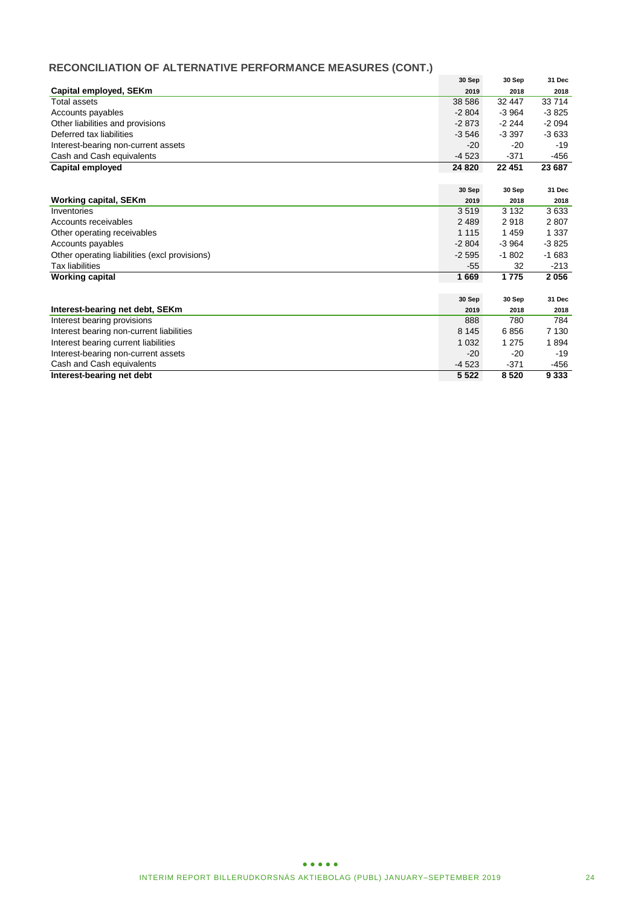# **RECONCILIATION OF ALTERNATIVE PERFORMANCE MEASURES (CONT.)**

|                                               | 30 Sep  | 30 Sep  | 31 Dec  |
|-----------------------------------------------|---------|---------|---------|
| Capital employed, SEKm                        | 2019    | 2018    | 2018    |
| Total assets                                  | 38 586  | 32 447  | 33 714  |
| Accounts payables                             | $-2804$ | $-3964$ | $-3825$ |
| Other liabilities and provisions              | $-2873$ | $-2244$ | $-2094$ |
| Deferred tax liabilities                      | $-3546$ | $-3397$ | $-3633$ |
| Interest-bearing non-current assets           | $-20$   | $-20$   | $-19$   |
| Cash and Cash equivalents                     | $-4523$ | $-371$  | -456    |
| <b>Capital employed</b>                       | 24 8 20 | 22 451  | 23 687  |
|                                               |         |         |         |
|                                               | 30 Sep  | 30 Sep  | 31 Dec  |
| <b>Working capital, SEKm</b>                  | 2019    | 2018    | 2018    |
| Inventories                                   | 3519    | 3 1 3 2 | 3633    |
| Accounts receivables                          | 2 4 8 9 | 2918    | 2807    |
| Other operating receivables                   | 1 1 1 5 | 1459    | 1 3 3 7 |
| Accounts payables                             | $-2804$ | $-3964$ | $-3825$ |
| Other operating liabilities (excl provisions) | $-2595$ | $-1802$ | $-1683$ |
| <b>Tax liabilities</b>                        | $-55$   | 32      | $-213$  |
| <b>Working capital</b>                        | 1669    | 1 7 7 5 | 2056    |
|                                               |         |         |         |
|                                               | 30 Sep  | 30 Sep  | 31 Dec  |
| Interest-bearing net debt, SEKm               | 2019    | 2018    | 2018    |
| Interest bearing provisions                   | 888     | 780     | 784     |
| Interest bearing non-current liabilities      | 8 1 4 5 | 6856    | 7 1 3 0 |
| Interest bearing current liabilities          | 1 0 3 2 | 1 2 7 5 | 1894    |
| Interest-bearing non-current assets           | $-20$   | $-20$   | $-19$   |
| Cash and Cash equivalents                     | $-4523$ | $-371$  | -456    |
| Interest-bearing net debt                     | 5 5 2 2 | 8520    | 9 3 3 3 |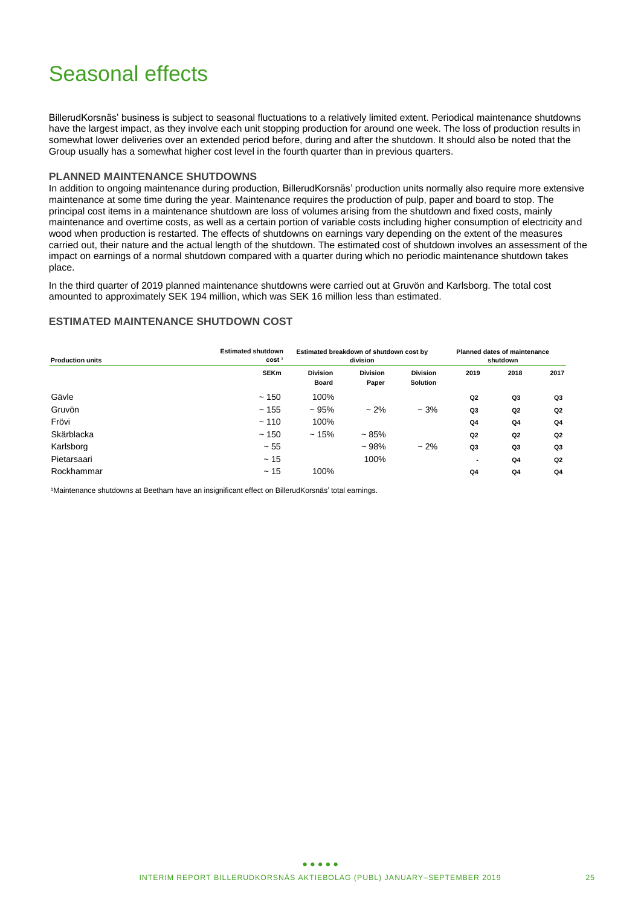# Seasonal effects

BillerudKorsnäs' business is subject to seasonal fluctuations to a relatively limited extent. Periodical maintenance shutdowns have the largest impact, as they involve each unit stopping production for around one week. The loss of production results in somewhat lower deliveries over an extended period before, during and after the shutdown. It should also be noted that the Group usually has a somewhat higher cost level in the fourth quarter than in previous quarters.

### **PLANNED MAINTENANCE SHUTDOWNS**

In addition to ongoing maintenance during production, BillerudKorsnäs' production units normally also require more extensive maintenance at some time during the year. Maintenance requires the production of pulp, paper and board to stop. The principal cost items in a maintenance shutdown are loss of volumes arising from the shutdown and fixed costs, mainly maintenance and overtime costs, as well as a certain portion of variable costs including higher consumption of electricity and wood when production is restarted. The effects of shutdowns on earnings vary depending on the extent of the measures carried out, their nature and the actual length of the shutdown. The estimated cost of shutdown involves an assessment of the impact on earnings of a normal shutdown compared with a quarter during which no periodic maintenance shutdown takes place.

In the third quarter of 2019 planned maintenance shutdowns were carried out at Gruvön and Karlsborg. The total cost amounted to approximately SEK 194 million, which was SEK 16 million less than estimated.

### **ESTIMATED MAINTENANCE SHUTDOWN COST**

| <b>Production units</b> | <b>Estimated shutdown</b><br>cost <sup>1</sup> | Estimated breakdown of shutdown cost by | division                 |                                    | <b>Planned dates of maintenance</b><br>shutdown |                |                |  |
|-------------------------|------------------------------------------------|-----------------------------------------|--------------------------|------------------------------------|-------------------------------------------------|----------------|----------------|--|
|                         | <b>SEKm</b>                                    | <b>Division</b><br><b>Board</b>         | <b>Division</b><br>Paper | <b>Division</b><br><b>Solution</b> | 2019                                            | 2018           | 2017           |  |
| Gävle                   | ~150                                           | 100%                                    |                          |                                    | Q <sub>2</sub>                                  | Q3             | Q3             |  |
| Gruvön                  | ~155                                           | ~105%                                   | $~2\%$                   | $-3%$                              | Q3                                              | Q <sub>2</sub> | Q <sub>2</sub> |  |
| Frövi                   | ~110                                           | 100%                                    |                          |                                    | Q <sub>4</sub>                                  | Q <sub>4</sub> | Q4             |  |
| Skärblacka              | ~150                                           | ~15%                                    | ~1.85%                   |                                    | Q <sub>2</sub>                                  | Q <sub>2</sub> | Q <sub>2</sub> |  |
| Karlsborg               | $~1$ - 55                                      |                                         | $~108\%$                 | $~2\%$                             | Q3                                              | Q3             | Q3             |  |
| Pietarsaari             | ~15                                            |                                         | 100%                     |                                    | ۰                                               | Q <sub>4</sub> | Q <sub>2</sub> |  |
| Rockhammar              | ~15                                            | 100%                                    |                          |                                    | Q4                                              | Q4             | Q4             |  |

1Maintenance shutdowns at Beetham have an insignificant effect on BillerudKorsnäs' total earnings.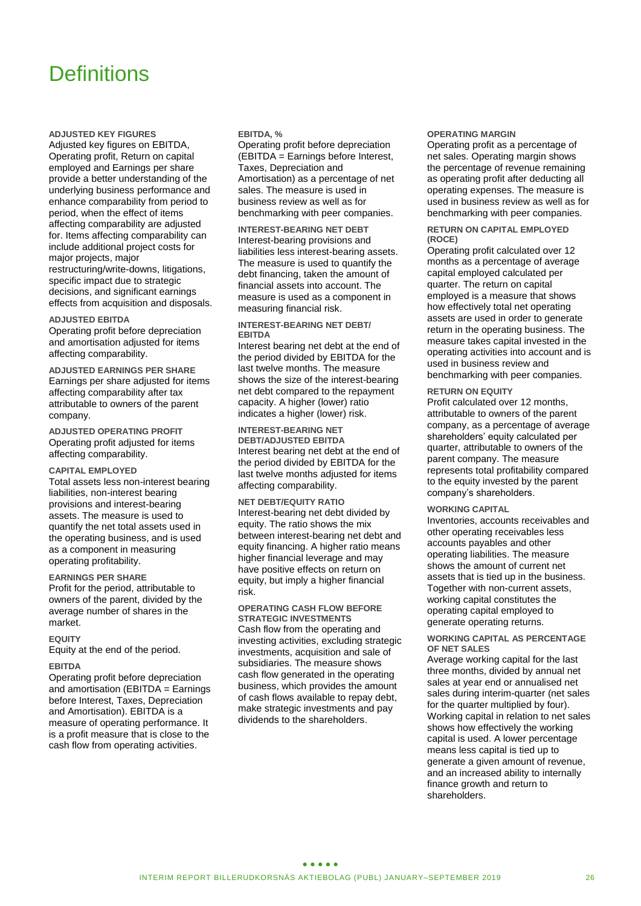# **Definitions**

**ADJUSTED KEY FIGURES**

Adjusted key figures on EBITDA, Operating profit, Return on capital employed and Earnings per share provide a better understanding of the underlying business performance and enhance comparability from period to period, when the effect of items affecting comparability are adjusted for. Items affecting comparability can include additional project costs for major projects, major restructuring/write-downs, litigations, specific impact due to strategic decisions, and significant earnings effects from acquisition and disposals.

#### **ADJUSTED EBITDA**

Operating profit before depreciation and amortisation adjusted for items affecting comparability.

**ADJUSTED EARNINGS PER SHARE** Earnings per share adjusted for items affecting comparability after tax attributable to owners of the parent company.

**ADJUSTED OPERATING PROFIT** Operating profit adjusted for items affecting comparability.

#### **CAPITAL EMPLOYED**

Total assets less non-interest bearing liabilities, non-interest bearing provisions and interest-bearing assets. The measure is used to quantify the net total assets used in the operating business, and is used as a component in measuring operating profitability.

#### **EARNINGS PER SHARE**

Profit for the period, attributable to owners of the parent, divided by the average number of shares in the market.

#### **EQUITY**

Equity at the end of the period.

#### **EBITDA**

Operating profit before depreciation and amortisation (EBITDA = Earnings before Interest, Taxes, Depreciation and Amortisation). EBITDA is a measure of operating performance. It is a profit measure that is close to the cash flow from operating activities.

#### **EBITDA, %**

Operating profit before depreciation (EBITDA = Earnings before Interest, Taxes, Depreciation and Amortisation) as a percentage of net sales. The measure is used in business review as well as for benchmarking with peer companies.

**INTEREST-BEARING NET DEBT** Interest-bearing provisions and liabilities less interest-bearing assets. The measure is used to quantify the debt financing, taken the amount of financial assets into account. The measure is used as a component in measuring financial risk.

#### **INTEREST-BEARING NET DEBT/ EBITDA**

Interest bearing net debt at the end of the period divided by EBITDA for the last twelve months. The measure shows the size of the interest-bearing net debt compared to the repayment capacity. A higher (lower) ratio indicates a higher (lower) risk.

**INTEREST-BEARING NET DEBT/ADJUSTED EBITDA** Interest bearing net debt at the end of the period divided by EBITDA for the last twelve months adjusted for items affecting comparability.

**NET DEBT/EQUITY RATIO** Interest-bearing net debt divided by equity. The ratio shows the mix between interest-bearing net debt and equity financing. A higher ratio means higher financial leverage and may have positive effects on return on equity, but imply a higher financial risk.

#### **OPERATING CASH FLOW BEFORE STRATEGIC INVESTMENTS**

Cash flow from the operating and investing activities, excluding strategic investments, acquisition and sale of subsidiaries. The measure shows cash flow generated in the operating business, which provides the amount of cash flows available to repay debt, make strategic investments and pay dividends to the shareholders.

#### **OPERATING MARGIN**

Operating profit as a percentage of net sales. Operating margin shows the percentage of revenue remaining as operating profit after deducting all operating expenses. The measure is used in business review as well as for benchmarking with peer companies.

#### **RETURN ON CAPITAL EMPLOYED (ROCE)**

Operating profit calculated over 12 months as a percentage of average capital employed calculated per quarter. The return on capital employed is a measure that shows how effectively total net operating assets are used in order to generate return in the operating business. The measure takes capital invested in the operating activities into account and is used in business review and benchmarking with peer companies.

#### **RETURN ON EQUITY**

Profit calculated over 12 months, attributable to owners of the parent company, as a percentage of average shareholders' equity calculated per quarter, attributable to owners of the parent company. The measure represents total profitability compared to the equity invested by the parent company's shareholders.

#### **WORKING CAPITAL**

Inventories, accounts receivables and other operating receivables less accounts payables and other operating liabilities. The measure shows the amount of current net assets that is tied up in the business. Together with non-current assets, working capital constitutes the operating capital employed to generate operating returns.

#### **WORKING CAPITAL AS PERCENTAGE OF NET SALES**

Average working capital for the last three months, divided by annual net sales at year end or annualised net sales during interim-quarter (net sales for the quarter multiplied by four). Working capital in relation to net sales shows how effectively the working capital is used. A lower percentage means less capital is tied up to generate a given amount of revenue, and an increased ability to internally finance growth and return to shareholders.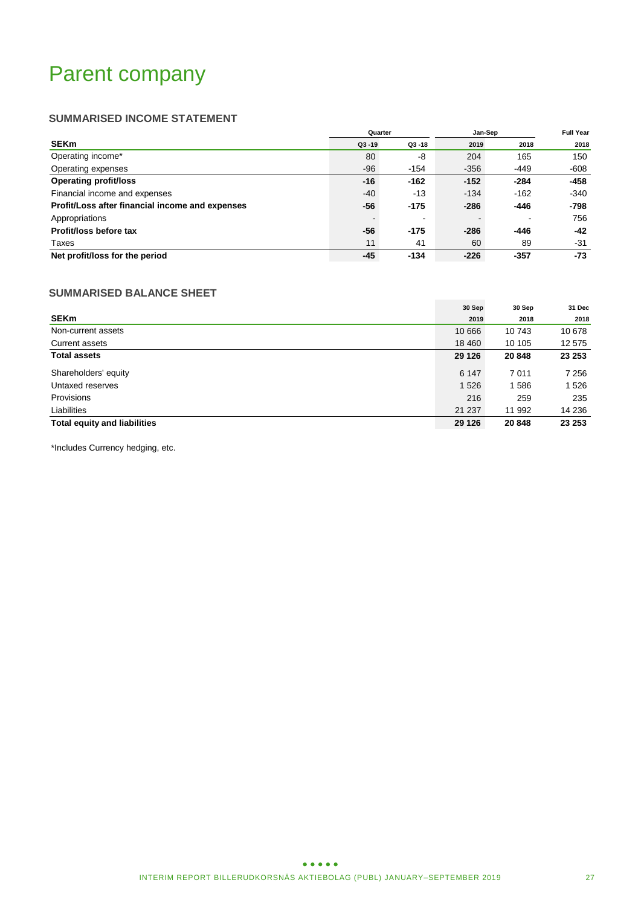# Parent company

# **SUMMARISED INCOME STATEMENT**

|                                                 | Quarter   |           | Jan-Sep | <b>Full Year</b>         |        |
|-------------------------------------------------|-----------|-----------|---------|--------------------------|--------|
| <b>SEKm</b>                                     | $Q3 - 19$ | $Q3 - 18$ | 2019    | 2018                     | 2018   |
| Operating income*                               | 80        | -8        | 204     | 165                      | 150    |
| Operating expenses                              | $-96$     | $-154$    | $-356$  | $-449$                   | -608   |
| <b>Operating profit/loss</b>                    | -16       | $-162$    | $-152$  | $-284$                   | -458   |
| Financial income and expenses                   | $-40$     | -13       | $-134$  | $-162$                   | $-340$ |
| Profit/Loss after financial income and expenses | -56       | $-175$    | $-286$  | -446                     | -798   |
| Appropriations                                  |           | $\,$      |         | $\overline{\phantom{a}}$ | 756    |
| Profit/loss before tax                          | -56       | $-175$    | $-286$  | $-446$                   | $-42$  |
| Taxes                                           | 11        | 41        | 60      | 89                       | -31    |
| Net profit/loss for the period                  | -45       | $-134$    | $-226$  | $-357$                   | -73    |

# **SUMMARISED BALANCE SHEET**

|                                     | 30 Sep  | 30 Sep  | 31 Dec  |
|-------------------------------------|---------|---------|---------|
| <b>SEKm</b>                         | 2019    | 2018    | 2018    |
| Non-current assets                  | 10 666  | 10 743  | 10 678  |
| Current assets                      | 18 460  | 10 105  | 12 575  |
| <b>Total assets</b>                 | 29 1 26 | 20 848  | 23 253  |
| Shareholders' equity                | 6 1 4 7 | 7 0 1 1 | 7 2 5 6 |
| Untaxed reserves                    | 1 5 2 6 | 1586    | 1526    |
| Provisions                          | 216     | 259     | 235     |
| Liabilities                         | 21 237  | 11 992  | 14 236  |
| <b>Total equity and liabilities</b> | 29 1 26 | 20 848  | 23 253  |

\*Includes Currency hedging, etc.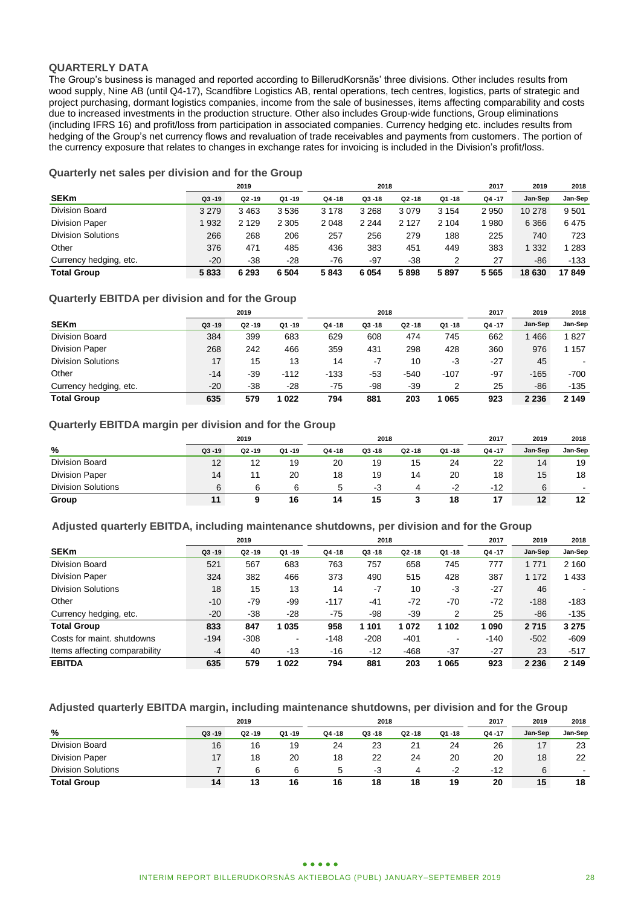### **QUARTERLY DATA**

The Group's business is managed and reported according to BillerudKorsnäs' three divisions. Other includes results from wood supply, Nine AB (until Q4-17), Scandfibre Logistics AB, rental operations, tech centres, logistics, parts of strategic and project purchasing, dormant logistics companies, income from the sale of businesses, items affecting comparability and costs due to increased investments in the production structure. Other also includes Group-wide functions, Group eliminations (including IFRS 16) and profit/loss from participation in associated companies. Currency hedging etc. includes results from hedging of the Group's net currency flows and revaluation of trade receivables and payments from customers. The portion of the currency exposure that relates to changes in exchange rates for invoicing is included in the Division's profit/loss.

# **Quarterly net sales per division and for the Group**

|                           | 2019<br>2018 |           |         |           |           |           | 2017    | 2019  | 2018    |         |
|---------------------------|--------------|-----------|---------|-----------|-----------|-----------|---------|-------|---------|---------|
| <b>SEKm</b>               | $Q3 - 19$    | $Q2 - 19$ | Q1-19   | $Q4 - 18$ | $Q3 - 18$ | $Q2 - 18$ | Q1 -18  | Q4-17 | Jan-Sep | Jan-Sep |
| Division Board            | 3 2 7 9      | 3 4 6 3   | 3536    | 3 1 7 8   | 3 2 6 8   | 3079      | 3 1 5 4 | 2950  | 10 278  | 9501    |
| <b>Division Paper</b>     | 1 9 3 2      | 2 1 2 9   | 2 3 0 5 | 2 0 4 8   | 2 2 4 4   | 2 1 2 7   | 2 104   | 980   | 6 3 6 6 | 6475    |
| <b>Division Solutions</b> | 266          | 268       | 206     | 257       | 256       | 279       | 188     | 225   | 740     | 723     |
| Other                     | 376          | 471       | 485     | 436       | 383       | 451       | 449     | 383   | 332     | 1 283   |
| Currency hedging, etc.    | $-20$        | $-38$     | $-28$   | -76       | $-97$     | $-38$     |         | 27    | -86     | $-133$  |
| <b>Total Group</b>        | 5833         | 6 2 9 3   | 6 5 0 4 | 5843      | 6 0 5 4   | 5898      | 5897    | 5565  | 18 630  | 17849   |

### **Quarterly EBITDA per division and for the Group**

|                           |           | 2019      |           |           | 2018      |           |           | 2017  | 2019    | 2018    |
|---------------------------|-----------|-----------|-----------|-----------|-----------|-----------|-----------|-------|---------|---------|
| <b>SEKm</b>               | $Q3 - 19$ | $Q2 - 19$ | $Q1 - 19$ | $Q4 - 18$ | $Q3 - 18$ | $Q2 - 18$ | $Q1 - 18$ | Q4-17 | Jan-Sep | Jan-Sep |
| Division Board            | 384       | 399       | 683       | 629       | 608       | 474       | 745       | 662   | 466     | 1827    |
| <b>Division Paper</b>     | 268       | 242       | 466       | 359       | 431       | 298       | 428       | 360   | 976     | 1 157   |
| <b>Division Solutions</b> | 17        | 15        | 13        | 14        | -7        | 10        | -3        | $-27$ | 45      | -       |
| Other                     | -14       | $-39$     | $-112$    | $-133$    | -53       | $-540$    | $-107$    | $-97$ | $-165$  | -700    |
| Currency hedging, etc.    | $-20$     | $-38$     | -28       | -75       | -98       | -39       |           | 25    | -86     | -135    |
| <b>Total Group</b>        | 635       | 579       | 1022      | 794       | 881       | 203       | 065       | 923   | 2 2 3 6 | 2 1 4 9 |

### **Quarterly EBITDA margin per division and for the Group**

| 2019                      |           |           |           |           | 2018      |           |       | 2017  | 2019    | 2018    |
|---------------------------|-----------|-----------|-----------|-----------|-----------|-----------|-------|-------|---------|---------|
| %                         | $Q3 - 19$ | $Q2 - 19$ | $Q1 - 19$ | $Q4 - 18$ | $Q3 - 18$ | $Q2 - 18$ | Q1-18 | Q4-17 | Jan-Sep | Jan-Sep |
| Division Board            | 12        | 12        | 19        | 20        | 19        | 15        | 24    | 22    | 14      | 19      |
| <b>Division Paper</b>     | 14        | 11        | 20        | 18        | 19        | 14        | 20    | 18    | 15      | 18      |
| <b>Division Solutions</b> |           | 6         | 6         | 5         | -3        | 4         | $-2$  | $-12$ | 6       | ۰       |
| Group                     |           |           | 16        | 14        | 15        |           | 18    |       | 12      | 12      |

### **Adjusted quarterly EBITDA, including maintenance shutdowns, per division and for the Group**

|                               |           | 2019      |           |           | 2018      |           |           | 2017   | 2019    | 2018    |
|-------------------------------|-----------|-----------|-----------|-----------|-----------|-----------|-----------|--------|---------|---------|
| <b>SEKm</b>                   | $Q3 - 19$ | $Q2 - 19$ | $Q1 - 19$ | $Q4 - 18$ | $Q3 - 18$ | $Q2 - 18$ | $Q1 - 18$ | Q4-17  | Jan-Sep | Jan-Sep |
| Division Board                | 521       | 567       | 683       | 763       | 757       | 658       | 745       | 777    | 1 7 7 1 | 2 1 6 0 |
| <b>Division Paper</b>         | 324       | 382       | 466       | 373       | 490       | 515       | 428       | 387    | 1 1 7 2 | 433     |
| <b>Division Solutions</b>     | 18        | 15        | 13        | 14        | $-7$      | 10        | -3        | $-27$  | 46      |         |
| Other                         | $-10$     | $-79$     | -99       | $-117$    | -41       | $-72$     | $-70$     | $-72$  | $-188$  | $-183$  |
| Currency hedging, etc.        | $-20$     | $-38$     | $-28$     | -75       | -98       | $-39$     | 2         | 25     | -86     | $-135$  |
| <b>Total Group</b>            | 833       | 847       | 1035      | 958       | 1 101     | 1072      | 1 102     | 1090   | 2715    | 3 2 7 5 |
| Costs for maint, shutdowns    | $-194$    | $-308$    | ۰         | $-148$    | $-208$    | $-401$    | $\,$      | $-140$ | $-502$  | $-609$  |
| Items affecting comparability | $-4$      | 40        | $-13$     | $-16$     | $-12$     | $-468$    | $-37$     | $-27$  | 23      | $-517$  |
| <b>EBITDA</b>                 | 635       | 579       | 1022      | 794       | 881       | 203       | 065       | 923    | 2 2 3 6 | 2 1 4 9 |

### **Adjusted quarterly EBITDA margin, including maintenance shutdowns, per division and for the Group**

|                           |           | 2019      |       |           | 2018      |           |       | 2017  | 2019    | 2018    |
|---------------------------|-----------|-----------|-------|-----------|-----------|-----------|-------|-------|---------|---------|
| %                         | $Q3 - 19$ | $Q2 - 19$ | Q1-19 | $Q4 - 18$ | $Q3 - 18$ | $Q2 - 18$ | Q1-18 | Q4-17 | Jan-Sep | Jan-Sep |
| Division Board            | 16        | 16        | 19    | 24        | 23        | 21        | 24    | 26    | 17      | 23      |
| <b>Division Paper</b>     |           | 18        | 20    | 18        | 22        | 24        | 20    | 20    | 18      | 22      |
| <b>Division Solutions</b> |           | 6         |       | 5         | -3        | д         | $-2$  | $-12$ | 6       |         |
| <b>Total Group</b>        | 14        | 13        | 16    | 16        | 18        | 18        | 19    | 20    | 15      | 18      |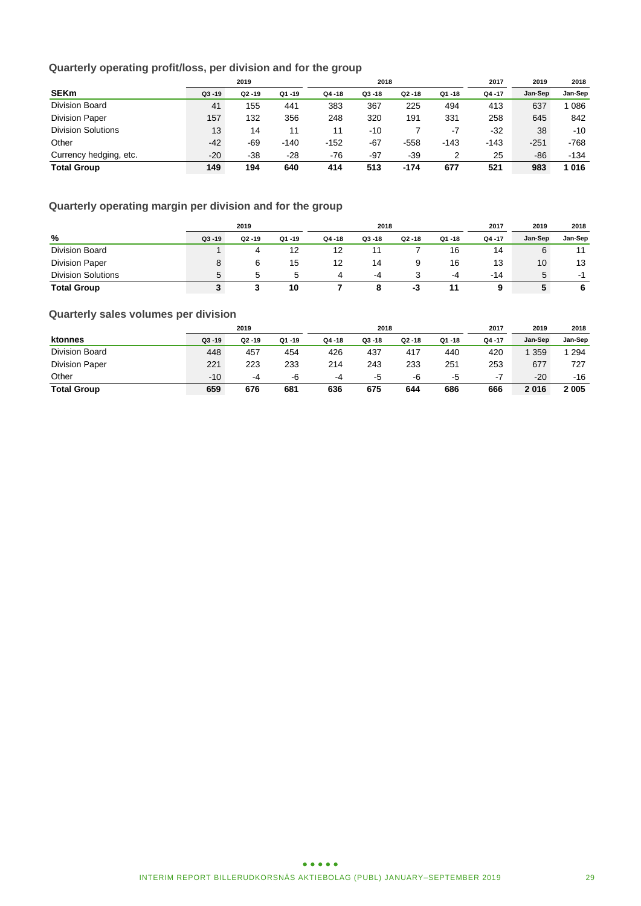# **Quarterly operating profit/loss, per division and for the group**

|                           |           | 2019      |           |           | 2018      |           |           | 2017   | 2019    | 2018    |
|---------------------------|-----------|-----------|-----------|-----------|-----------|-----------|-----------|--------|---------|---------|
| <b>SEKm</b>               | $Q3 - 19$ | $Q2 - 19$ | $Q1 - 19$ | $Q4 - 18$ | $Q3 - 18$ | $Q2 - 18$ | $Q1 - 18$ | Q4 -17 | Jan-Sep | Jan-Sep |
| <b>Division Board</b>     | 41        | 155       | 441       | 383       | 367       | 225       | 494       | 413    | 637     | 086     |
| <b>Division Paper</b>     | 157       | 132       | 356       | 248       | 320       | 191       | 331       | 258    | 645     | 842     |
| <b>Division Solutions</b> | 13        | 14        | 11        | 11        | -10       |           | $-7$      | $-32$  | 38      | $-10$   |
| Other                     | $-42$     | $-69$     | $-140$    | $-152$    | $-67$     | $-558$    | $-143$    | $-143$ | $-251$  | $-768$  |
| Currency hedging, etc.    | $-20$     | $-38$     | $-28$     | $-76$     | $-97$     | $-39$     |           | 25     | -86     | $-134$  |
| <b>Total Group</b>        | 149       | 194       | 640       | 414       | 513       | $-174$    | 677       | 521    | 983     | 1016    |

# **Quarterly operating margin per division and for the group**

|                           |           | 2019      |           |        | 2018      |           |       | 2017  | 2018    |                                                                                                                                                                                                                                |
|---------------------------|-----------|-----------|-----------|--------|-----------|-----------|-------|-------|---------|--------------------------------------------------------------------------------------------------------------------------------------------------------------------------------------------------------------------------------|
| %                         | $Q3 - 19$ | $Q2 - 19$ | $Q1 - 19$ | Q4 -18 | $Q3 - 18$ | $Q2 - 18$ | Q1-18 | Q4-17 | Jan-Sep | Jan-Sep                                                                                                                                                                                                                        |
| Division Board            |           |           | 12        | 12     |           |           | 16    | 14    | 6       | 11                                                                                                                                                                                                                             |
| <b>Division Paper</b>     |           |           | 15        | 12     | 14        |           | 16    | 13    | 10      | 13                                                                                                                                                                                                                             |
| <b>Division Solutions</b> |           |           | 5         | 4      | -4        |           | -4    | -14   | 5       | . The contract of the contract of the contract of the contract of the contract of the contract of the contract of the contract of the contract of the contract of the contract of the contract of the contract of the contract |
| <b>Total Group</b>        |           |           | 10        |        |           | - 3       |       | 9     | C       | 6                                                                                                                                                                                                                              |

# **Quarterly sales volumes per division**

|                       |           | 2019      |       |           | 2018      |           |       | 2017  | 2019    | 2018    |
|-----------------------|-----------|-----------|-------|-----------|-----------|-----------|-------|-------|---------|---------|
| ktonnes               | $Q3 - 19$ | $Q2 - 19$ | Q1-19 | $Q4 - 18$ | $Q3 - 18$ | $Q2 - 18$ | Q1-18 | Q4-17 | Jan-Sep | Jan-Sep |
| Division Board        | 448       | 457       | 454   | 426       | 437       | 417       | 440   | 420   | 359     | 294     |
| <b>Division Paper</b> | 221       | 223       | 233   | 214       | 243       | 233       | 251   | 253   | 677     | 727     |
| Other                 | $-10$     | -4        | -6    | -4        | -5        | -6        | -5    | -7    | $-20$   | $-16$   |
| <b>Total Group</b>    | 659       | 676       | 681   | 636       | 675       | 644       | 686   | 666   | 2016    | 2005    |